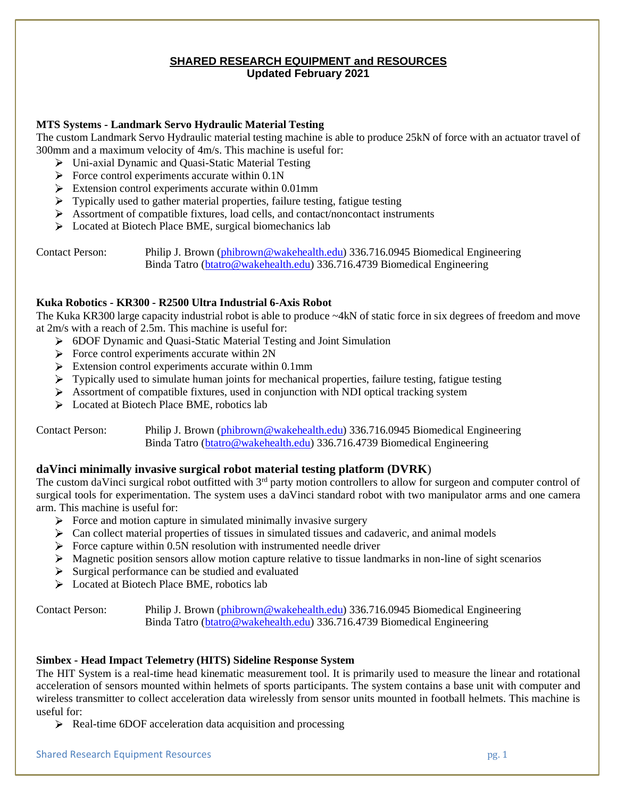# **SHARED RESEARCH EQUIPMENT and RESOURCES Updated February 2021**

## **MTS Systems - Landmark Servo Hydraulic Material Testing**

The custom Landmark Servo Hydraulic material testing machine is able to produce 25kN of force with an actuator travel of 300mm and a maximum velocity of 4m/s. This machine is useful for:

- Uni-axial Dynamic and Quasi-Static Material Testing
- $\triangleright$  Force control experiments accurate within 0.1N
- Extension control experiments accurate within 0.01mm
- $\triangleright$  Typically used to gather material properties, failure testing, fatigue testing
- $\triangleright$  Assortment of compatible fixtures, load cells, and contact/noncontact instruments
- **Exercise 2** Located at Biotech Place BME, surgical biomechanics lab

Contact Person: Philip J. Brown [\(phibrown@wakehealth.edu\)](mailto:phibrown@wakehealth.edu) 336.716.0945 Biomedical Engineering Binda Tatro [\(btatro@wakehealth.edu\)](mailto:btatro@wakehealth.edu) 336.716.4739 Biomedical Engineering

#### **Kuka Robotics - KR300 - R2500 Ultra Industrial 6-Axis Robot**

The Kuka KR300 large capacity industrial robot is able to produce ~4kN of static force in six degrees of freedom and move at 2m/s with a reach of 2.5m. This machine is useful for:

- 6DOF Dynamic and Quasi-Static Material Testing and Joint Simulation
- $\triangleright$  Force control experiments accurate within 2N
- $\triangleright$  Extension control experiments accurate within 0.1mm
- $\triangleright$  Typically used to simulate human joints for mechanical properties, failure testing, fatigue testing
- $\triangleright$  Assortment of compatible fixtures, used in conjunction with NDI optical tracking system
- ▶ Located at Biotech Place BME, robotics lab

Contact Person: Philip J. Brown [\(phibrown@wakehealth.edu\)](mailto:phibrown@wakehealth.edu) 336.716.0945 Biomedical Engineering Binda Tatro [\(btatro@wakehealth.edu\)](mailto:btatro@wakehealth.edu) 336.716.4739 Biomedical Engineering

## **daVinci minimally invasive surgical robot material testing platform (DVRK**)

The custom daVinci surgical robot outfitted with  $3<sup>rd</sup>$  party motion controllers to allow for surgeon and computer control of surgical tools for experimentation. The system uses a daVinci standard robot with two manipulator arms and one camera arm. This machine is useful for:

- $\triangleright$  Force and motion capture in simulated minimally invasive surgery
- $\triangleright$  Can collect material properties of tissues in simulated tissues and cadaveric, and animal models
- $\triangleright$  Force capture within 0.5N resolution with instrumented needle driver
- Magnetic position sensors allow motion capture relative to tissue landmarks in non-line of sight scenarios
- $\triangleright$  Surgical performance can be studied and evaluated
- ▶ Located at Biotech Place BME, robotics lab

Contact Person: Philip J. Brown [\(phibrown@wakehealth.edu\)](mailto:phibrown@wakehealth.edu) 336.716.0945 Biomedical Engineering Binda Tatro [\(btatro@wakehealth.edu\)](mailto:btatro@wakehealth.edu) 336.716.4739 Biomedical Engineering

## **Simbex - Head Impact Telemetry (HITS) Sideline Response System**

The HIT System is a real-time head kinematic measurement tool. It is primarily used to measure the linear and rotational acceleration of sensors mounted within helmets of sports participants. The system contains a base unit with computer and wireless transmitter to collect acceleration data wirelessly from sensor units mounted in football helmets. This machine is useful for:

 $\triangleright$  Real-time 6DOF acceleration data acquisition and processing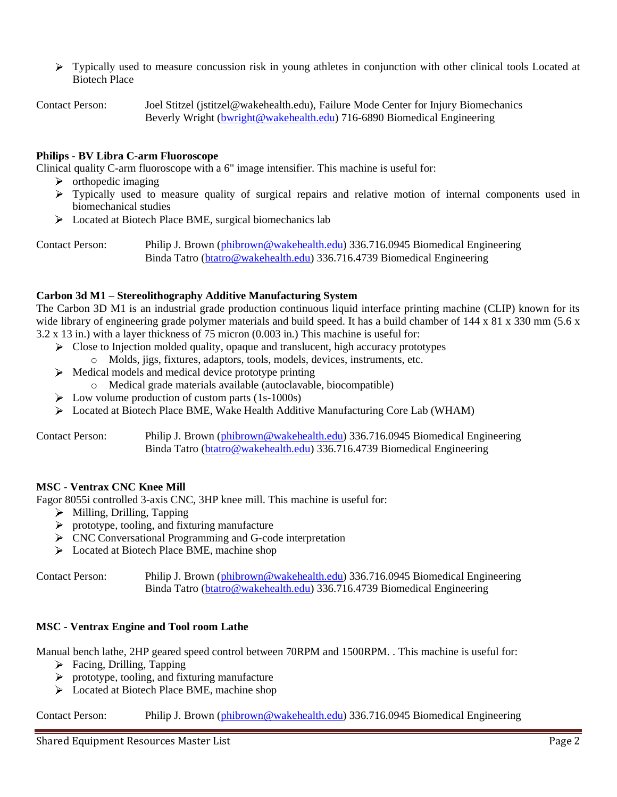> Typically used to measure concussion risk in young athletes in conjunction with other clinical tools Located at Biotech Place

Contact Person: Joel Stitzel (jstitzel@wakehealth.edu), Failure Mode Center for Injury Biomechanics Beverly Wright [\(bwright@wakehealth.edu\)](mailto:bwright@wakehealth.edu) 716-6890 Biomedical Engineering

#### **Philips - BV Libra C-arm Fluoroscope**

Clinical quality C-arm fluoroscope with a 6" image intensifier. This machine is useful for:

- $\triangleright$  orthopedic imaging
- $\triangleright$  Typically used to measure quality of surgical repairs and relative motion of internal components used in biomechanical studies
- **Exercise 2** Located at Biotech Place BME, surgical biomechanics lab

Contact Person: Philip J. Brown [\(phibrown@wakehealth.edu\)](mailto:phibrown@wakehealth.edu) 336.716.0945 Biomedical Engineering Binda Tatro [\(btatro@wakehealth.edu\)](mailto:btatro@wakehealth.edu) 336.716.4739 Biomedical Engineering

#### **Carbon 3d M1 – Stereolithography Additive Manufacturing System**

The Carbon 3D M1 is an industrial grade production continuous liquid interface printing machine (CLIP) known for its wide library of engineering grade polymer materials and build speed. It has a build chamber of  $144 \times 81 \times 330$  mm (5.6 x 3.2 x 13 in.) with a layer thickness of 75 micron (0.003 in.) This machine is useful for:

- $\triangleright$  Close to Injection molded quality, opaque and translucent, high accuracy prototypes
	- o Molds, jigs, fixtures, adaptors, tools, models, devices, instruments, etc.
- $\triangleright$  Medical models and medical device prototype printing
	- o Medical grade materials available (autoclavable, biocompatible)
- $\triangleright$  Low volume production of custom parts (1s-1000s)
- Located at Biotech Place BME, Wake Health Additive Manufacturing Core Lab (WHAM)

Contact Person: Philip J. Brown [\(phibrown@wakehealth.edu\)](mailto:phibrown@wakehealth.edu) 336.716.0945 Biomedical Engineering Binda Tatro [\(btatro@wakehealth.edu\)](mailto:btatro@wakehealth.edu) 336.716.4739 Biomedical Engineering

## **MSC - Ventrax CNC Knee Mill**

Fagor 8055i controlled 3-axis CNC, 3HP knee mill. This machine is useful for:

- $\triangleright$  Milling, Drilling, Tapping
- $\triangleright$  prototype, tooling, and fixturing manufacture
- CNC Conversational Programming and G-code interpretation
- **Exercise 2** Located at Biotech Place BME, machine shop

Contact Person: Philip J. Brown [\(phibrown@wakehealth.edu\)](mailto:phibrown@wakehealth.edu) 336.716.0945 Biomedical Engineering Binda Tatro [\(btatro@wakehealth.edu\)](mailto:btatro@wakehealth.edu) 336.716.4739 Biomedical Engineering

#### **MSC - Ventrax Engine and Tool room Lathe**

Manual bench lathe, 2HP geared speed control between 70RPM and 1500RPM. . This machine is useful for:

- $\triangleright$  Facing, Drilling, Tapping
- $\triangleright$  prototype, tooling, and fixturing manufacture
- **Located at Biotech Place BME, machine shop**

Contact Person: Philip J. Brown [\(phibrown@wakehealth.edu\)](mailto:phibrown@wakehealth.edu) 336.716.0945 Biomedical Engineering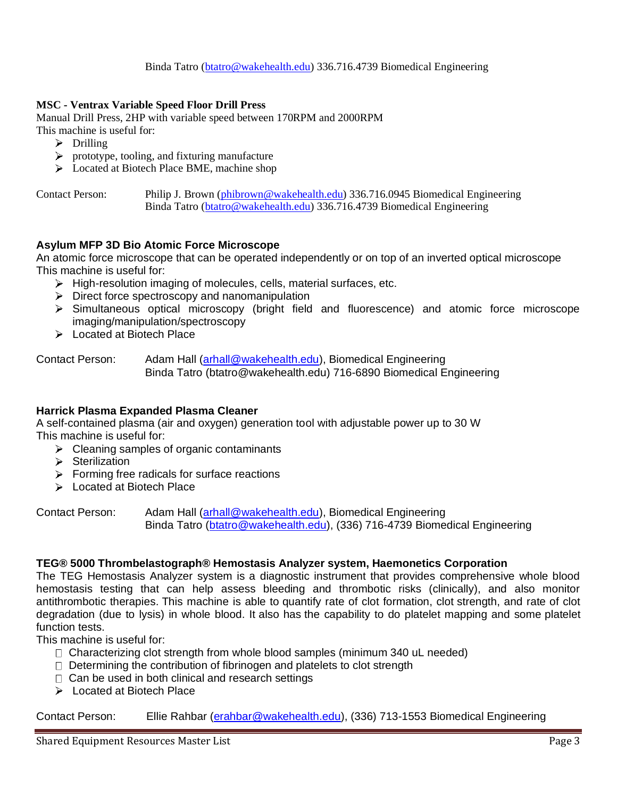## **MSC - Ventrax Variable Speed Floor Drill Press**

Manual Drill Press, 2HP with variable speed between 170RPM and 2000RPM

- This machine is useful for:
	- $\triangleright$  Drilling
	- $\triangleright$  prototype, tooling, and fixturing manufacture
	- **Located at Biotech Place BME, machine shop**

Contact Person: Philip J. Brown [\(phibrown@wakehealth.edu\)](mailto:phibrown@wakehealth.edu) 336.716.0945 Biomedical Engineering Binda Tatro [\(btatro@wakehealth.edu\)](mailto:btatro@wakehealth.edu) 336.716.4739 Biomedical Engineering

## **Asylum MFP 3D Bio Atomic Force Microscope**

An atomic force microscope that can be operated independently or on top of an inverted optical microscope This machine is useful for:

- $\triangleright$  High-resolution imaging of molecules, cells, material surfaces, etc.
- $\triangleright$  Direct force spectroscopy and nanomanipulation
- Simultaneous optical microscopy (bright field and fluorescence) and atomic force microscope imaging/manipulation/spectroscopy
- **Exercise** At Biotech Place

Contact Person: Adam Hall [\(arhall@wakehealth.edu\)](mailto:arhall@wakehealth.edu), Biomedical Engineering Binda Tatro (btatro@wakehealth.edu) 716-6890 Biomedical Engineering

## **Harrick Plasma Expanded Plasma Cleaner**

A self-contained plasma (air and oxygen) generation tool with adjustable power up to 30 W This machine is useful for:

- $\triangleright$  Cleaning samples of organic contaminants
- $\triangleright$  Sterilization
- $\triangleright$  Forming free radicals for surface reactions
- **Located at Biotech Place**

Contact Person: Adam Hall [\(arhall@wakehealth.edu\)](mailto:arhall@wakehealth.edu), Biomedical Engineering Binda Tatro (btatro@wakehealth.edu), (336) 716-4739 Biomedical Engineering

#### **TEG® 5000 Thrombelastograph® Hemostasis Analyzer system, Haemonetics Corporation**

The TEG Hemostasis Analyzer system is a diagnostic instrument that provides comprehensive whole blood hemostasis testing that can help assess bleeding and thrombotic risks (clinically), and also monitor antithrombotic therapies. This machine is able to quantify rate of clot formation, clot strength, and rate of clot degradation (due to lysis) in whole blood. It also has the capability to do platelet mapping and some platelet function tests.

This machine is useful for:

- $\Box$  Characterizing clot strength from whole blood samples (minimum 340 uL needed)
- $\Box$  Determining the contribution of fibrinogen and platelets to clot strength
- $\Box$  Can be used in both clinical and research settings
- > Located at Biotech Place

Contact Person: Ellie Rahbar [\(erahbar@wakehealth.edu\)](mailto:erahbar@wakehealth.edu), (336) 713-1553 Biomedical Engineering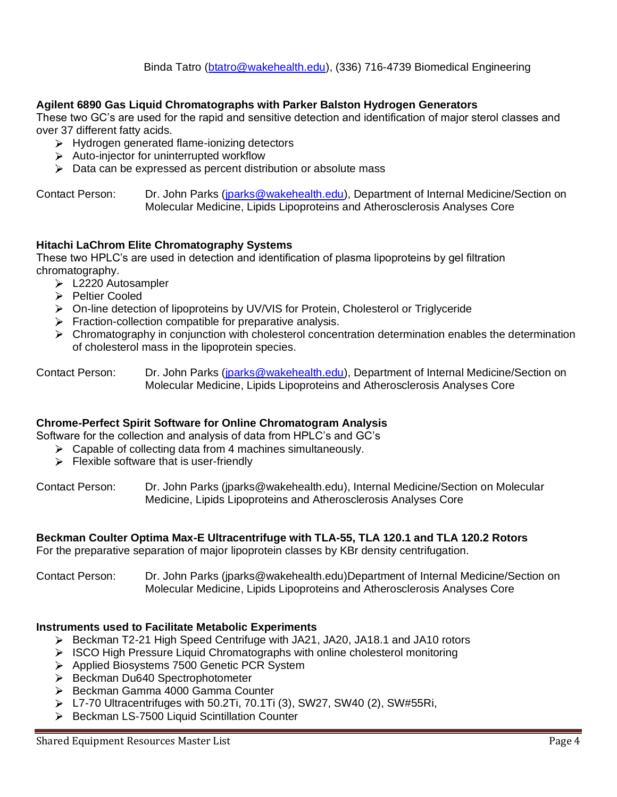# **Agilent 6890 Gas Liquid Chromatographs with Parker Balston Hydrogen Generators**

These two GC's are used for the rapid and sensitive detection and identification of major sterol classes and over 37 different fatty acids.

- > Hydrogen generated flame-ionizing detectors
- $\triangleright$  Auto-injector for uninterrupted workflow
- $\triangleright$  Data can be expressed as percent distribution or absolute mass

Contact Person: Dr. John Parks [\(jparks@wakehealth.edu\)](mailto:jparks@wakehealth.edu), Department of Internal Medicine/Section on Molecular Medicine, Lipids Lipoproteins and Atherosclerosis Analyses Core

## **Hitachi LaChrom Elite Chromatography Systems**

These two HPLC's are used in detection and identification of plasma lipoproteins by gel filtration chromatography.

- > L2220 Autosampler
- **>** Peltier Cooled
- On-line detection of lipoproteins by UV/VIS for Protein, Cholesterol or Triglyceride
- $\triangleright$  Fraction-collection compatible for preparative analysis.
- $\triangleright$  Chromatography in conjunction with cholesterol concentration determination enables the determination of cholesterol mass in the lipoprotein species.

#### **Chrome-Perfect Spirit Software for Online Chromatogram Analysis**

Software for the collection and analysis of data from HPLC's and GC's

- $\triangleright$  Capable of collecting data from 4 machines simultaneously.
- $\triangleright$  Flexible software that is user-friendly

Contact Person: Dr. John Parks (jparks@wakehealth.edu), Internal Medicine/Section on Molecular Medicine, Lipids Lipoproteins and Atherosclerosis Analyses Core

#### **Beckman Coulter Optima Max-E Ultracentrifuge with TLA-55, TLA 120.1 and TLA 120.2 Rotors**

For the preparative separation of major lipoprotein classes by KBr density centrifugation.

Contact Person: Dr. John Parks (jparks@wakehealth.edu)Department of Internal Medicine/Section on Molecular Medicine, Lipids Lipoproteins and Atherosclerosis Analyses Core

#### **Instruments used to Facilitate Metabolic Experiments**

- Beckman T2-21 High Speed Centrifuge with JA21, JA20, JA18.1 and JA10 rotors
- $\triangleright$  ISCO High Pressure Liquid Chromatographs with online cholesterol monitoring
- > Applied Biosystems 7500 Genetic PCR System
- Beckman Du640 Spectrophotometer
- Beckman Gamma 4000 Gamma Counter
- L7-70 Ultracentrifuges with 50.2Ti, 70.1Ti (3), SW27, SW40 (2), SW#55Ri,
- ▶ Beckman LS-7500 Liquid Scintillation Counter

Contact Person: Dr. John Parks [\(jparks@wakehealth.edu\)](mailto:jparks@wakehealth.edu), Department of Internal Medicine/Section on Molecular Medicine, Lipids Lipoproteins and Atherosclerosis Analyses Core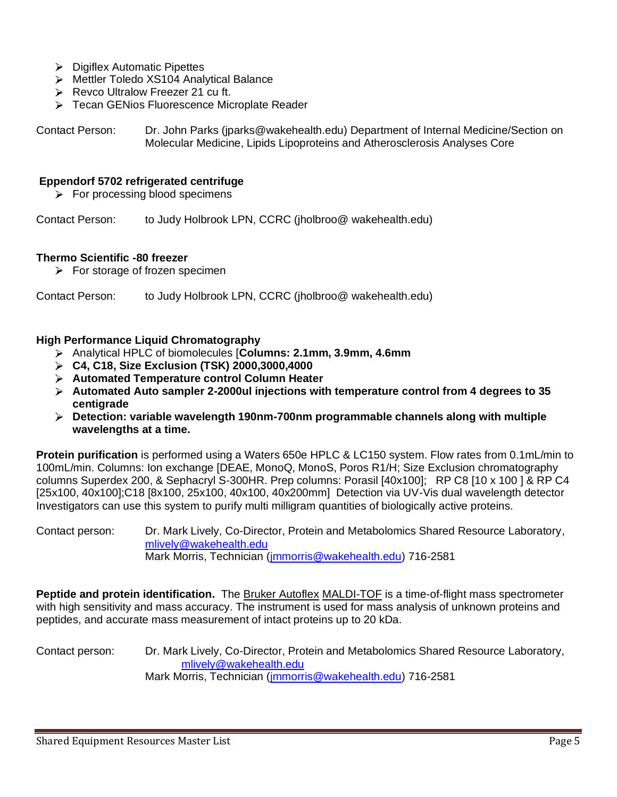- **Digiflex Automatic Pipettes**
- Mettler Toledo XS104 Analytical Balance
- Revco Ultralow Freezer 21 cu ft.
- > Tecan GENios Fluorescence Microplate Reader

Contact Person: Dr. John Parks (jparks@wakehealth.edu) Department of Internal Medicine/Section on Molecular Medicine, Lipids Lipoproteins and Atherosclerosis Analyses Core

#### **Eppendorf 5702 refrigerated centrifuge**

 $\triangleright$  For processing blood specimens

Contact Person: to Judy Holbrook LPN, CCRC (jholbroo@ wakehealth.edu)

#### **Thermo Scientific -80 freezer**

 $\triangleright$  For storage of frozen specimen

Contact Person: to Judy Holbrook LPN, CCRC (jholbroo@ wakehealth.edu)

#### **High Performance Liquid Chromatography**

- Analytical HPLC of biomolecules [**Columns: 2.1mm, 3.9mm, 4.6mm**
- **C4, C18, Size Exclusion (TSK) 2000,3000,4000**
- **Automated Temperature control Column Heater**
- **Automated Auto sampler 2-2000ul injections with temperature control from 4 degrees to 35 centigrade**
- **Detection: variable wavelength 190nm-700nm programmable channels along with multiple wavelengths at a time.**

**Protein purification** is performed using a Waters 650e HPLC & LC150 system. Flow rates from 0.1mL/min to 100mL/min. Columns: Ion exchange [DEAE, MonoQ, MonoS, Poros R1/H; Size Exclusion chromatography columns Superdex 200, & Sephacryl S-300HR. Prep columns: Porasil [40x100]; RP C8 [10 x 100 ] & RP C4 [25x100, 40x100];C18 [8x100, 25x100, 40x100, 40x200mm] Detection via UV-Vis dual wavelength detector Investigators can use this system to purify multi milligram quantities of biologically active proteins.

Contact person: Dr. Mark Lively, Co-Director, Protein and Metabolomics Shared Resource Laboratory, [mlively@wakehealth.edu](mailto:mlively@wakehealth.edu) Mark Morris, Technician [\(jmmorris@wakehealth.edu\)](mailto:jmmorris@wakehealth.edu) 716-2581

**Peptide and protein identification.** The Bruker Autoflex MALDI-TOF is a time-of-flight mass spectrometer with high sensitivity and mass accuracy. The instrument is used for mass analysis of unknown proteins and peptides, and accurate mass measurement of intact proteins up to 20 kDa.

Contact person: Dr. Mark Lively, Co-Director, Protein and Metabolomics Shared Resource Laboratory, [mlively@wakehealth.edu](mailto:mlively@wakehealth.edu) Mark Morris, Technician [\(jmmorris@wakehealth.edu\)](mailto:jmmorris@wakehealth.edu) 716-2581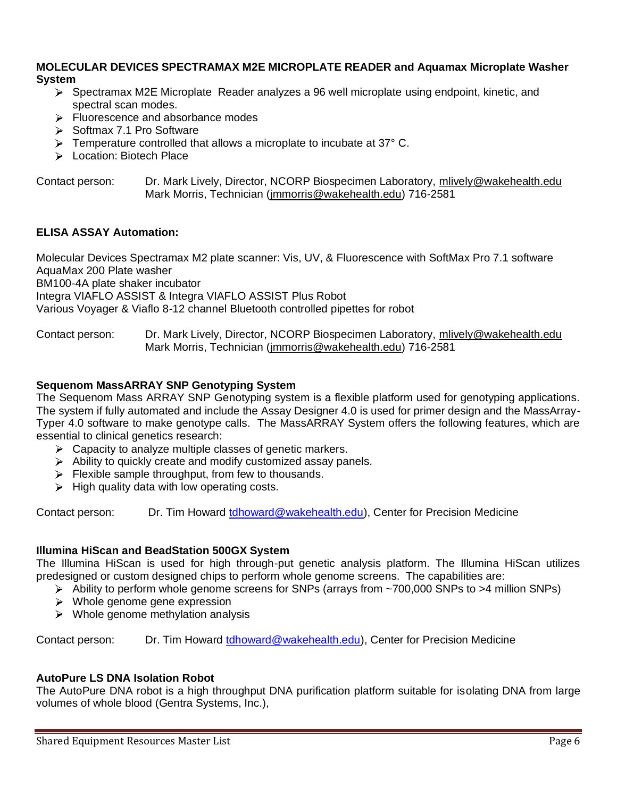#### **MOLECULAR DEVICES SPECTRAMAX M2E MICROPLATE READER and Aquamax Microplate Washer System**

- Spectramax M2E Microplate Reader analyzes a 96 well microplate using endpoint, kinetic, and spectral scan modes.
- Fluorescence and absorbance modes
- $\triangleright$  Softmax 7.1 Pro Software
- $\triangleright$  Temperature controlled that allows a microplate to incubate at 37 $\degree$  C.
- > Location: Biotech Place

Contact person: Dr. Mark Lively, Director, NCORP Biospecimen Laboratory, [mlively@wakehealth.edu](mailto:mlively@wakehealth.edu) Mark Morris, Technician [\(jmmorris@wakehealth.edu\)](mailto:jmmorris@wakehealth.edu) 716-2581

## **ELISA ASSAY Automation:**

Molecular Devices Spectramax M2 plate scanner: Vis, UV, & Fluorescence with SoftMax Pro 7.1 software AquaMax 200 Plate washer BM100-4A plate shaker incubator Integra VIAFLO ASSIST & Integra VIAFLO ASSIST Plus Robot Various Voyager & Viaflo 8-12 channel Bluetooth controlled pipettes for robot

#### Contact person: Dr. Mark Lively, Director, NCORP Biospecimen Laboratory, [mlively@wakehealth.edu](mailto:mlively@wakehealth.edu) Mark Morris, Technician [\(jmmorris@wakehealth.edu\)](mailto:jmmorris@wakehealth.edu) 716-2581

#### **Sequenom MassARRAY SNP Genotyping System**

The Sequenom Mass ARRAY SNP Genotyping system is a flexible platform used for genotyping applications. The system if fully automated and include the Assay Designer 4.0 is used for primer design and the MassArray-Typer 4.0 software to make genotype calls. The MassARRAY System offers the following features, which are essential to clinical genetics research:

- $\triangleright$  Capacity to analyze multiple classes of genetic markers.
- $\triangleright$  Ability to quickly create and modify customized assay panels.
- $\triangleright$  Flexible sample throughput, from few to thousands.
- $\triangleright$  High quality data with low operating costs.

Contact person: Dr. Tim Howard [tdhoward@wakehealth.edu\)](mailto:tdhoward@wakehealth.edu), Center for Precision Medicine

## **Illumina HiScan and BeadStation 500GX System**

The Illumina HiScan is used for high through-put genetic analysis platform. The Illumina HiScan utilizes predesigned or custom designed chips to perform whole genome screens. The capabilities are:

- $\triangleright$  Ability to perform whole genome screens for SNPs (arrays from ~700,000 SNPs to >4 million SNPs)
- $\triangleright$  Whole genome gene expression
- $\triangleright$  Whole genome methylation analysis

Contact person: Dr. Tim Howard tdhoward @wakehealth.edu), Center for Precision Medicine

## **AutoPure LS DNA Isolation Robot**

The AutoPure DNA robot is a high throughput DNA purification platform suitable for isolating DNA from large volumes of whole blood (Gentra Systems, Inc.),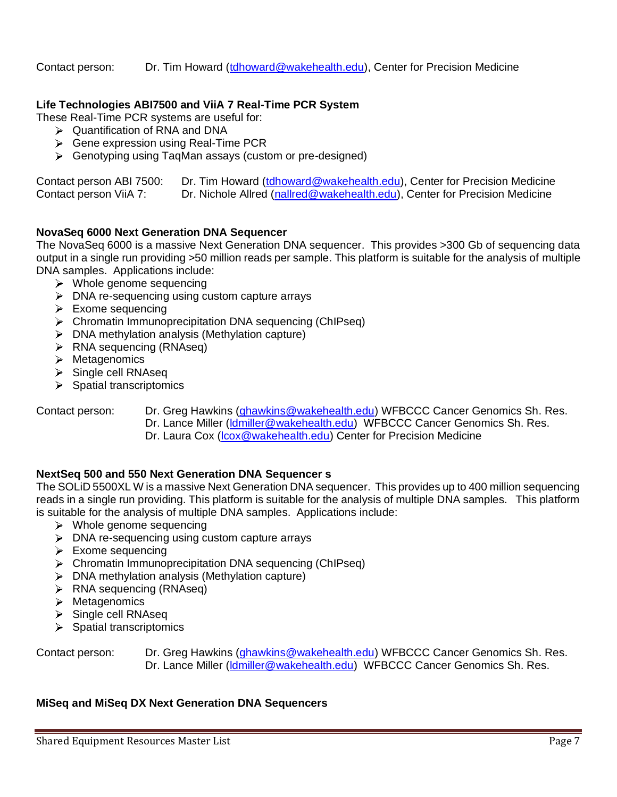Contact person: Dr. Tim Howard [\(tdhoward@wakehealth.edu\)](mailto:tdhoward@wakehealth.edu), Center for Precision Medicine

# **Life Technologies ABI7500 and ViiA 7 Real-Time PCR System**

These Real-Time PCR systems are useful for:

- $\triangleright$  Quantification of RNA and DNA
- Gene expression using Real-Time PCR
- Genotyping using TaqMan assays (custom or pre-designed)

| Contact person ABI 7500: | Dr. Tim Howard (tdhoward@wakehealth.edu), Center for Precision Medicine    |  |
|--------------------------|----------------------------------------------------------------------------|--|
| Contact person ViiA 7:   | Dr. Nichole Allred (nallred@wakehealth.edu), Center for Precision Medicine |  |

## **NovaSeq 6000 Next Generation DNA Sequencer**

The NovaSeq 6000 is a massive Next Generation DNA sequencer. This provides >300 Gb of sequencing data output in a single run providing >50 million reads per sample. This platform is suitable for the analysis of multiple DNA samples. Applications include:

- $\triangleright$  Whole genome sequencing
- $\triangleright$  DNA re-sequencing using custom capture arrays
- $\triangleright$  Exome sequencing
- Chromatin Immunoprecipitation DNA sequencing (ChIPseq)
- $\triangleright$  DNA methylation analysis (Methylation capture)
- $\triangleright$  RNA sequencing (RNAseq)
- > Metagenomics
- $\triangleright$  Single cell RNAseq
- $\triangleright$  Spatial transcriptomics

- Contact person: Dr. Greg Hawkins [\(ghawkins@wakehealth.edu\)](mailto:ghawkins@wakehealth.edu) WFBCCC Cancer Genomics Sh. Res. Dr. Lance Miller [\(ldmiller@wakehealth.edu\)](mailto:ldmiller@wakehealth.edu) WFBCCC Cancer Genomics Sh. Res.
	- Dr. Laura Cox [\(lcox@wakehealth.edu\)](mailto:lcox@wakehealth.edu) Center for Precision Medicine

## **NextSeq 500 and 550 Next Generation DNA Sequencer s**

The SOLiD 5500XL W is a massive Next Generation DNA sequencer. This provides up to 400 million sequencing reads in a single run providing. This platform is suitable for the analysis of multiple DNA samples. This platform is suitable for the analysis of multiple DNA samples. Applications include:

- $\triangleright$  Whole genome sequencing
- $\triangleright$  DNA re-sequencing using custom capture arrays
- $\triangleright$  Exome sequencing
- Chromatin Immunoprecipitation DNA sequencing (ChIPseq)
- $\triangleright$  DNA methylation analysis (Methylation capture)
- **RNA sequencing (RNAseq)**
- > Metagenomics
- $\triangleright$  Single cell RNAseq
- $\triangleright$  Spatial transcriptomics

| Contact person: | Dr. Greg Hawkins (ghawkins@wakehealth.edu) WFBCCC Cancer Genomics Sh. Res. |
|-----------------|----------------------------------------------------------------------------|
|                 | Dr. Lance Miller (Idmiller@wakehealth.edu) WFBCCC Cancer Genomics Sh. Res. |

## **MiSeq and MiSeq DX Next Generation DNA Sequencers**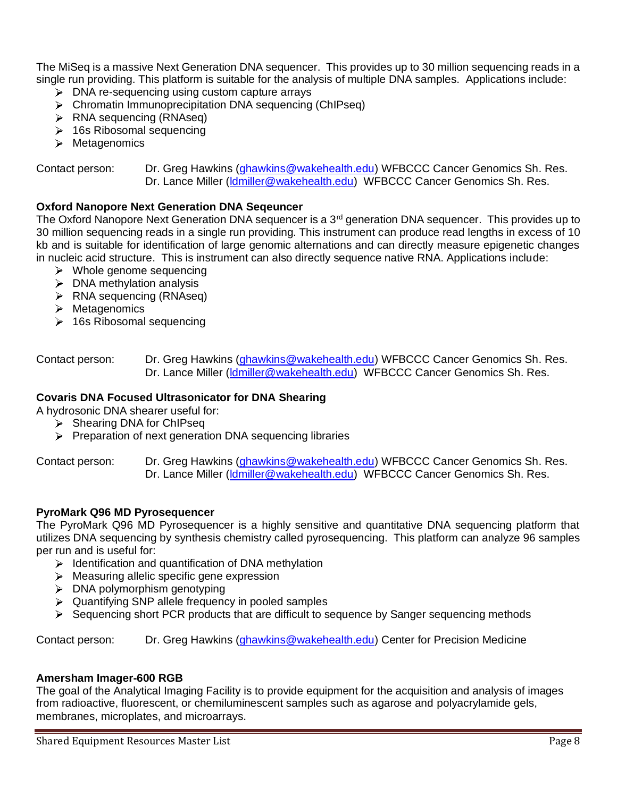The MiSeq is a massive Next Generation DNA sequencer. This provides up to 30 million sequencing reads in a single run providing. This platform is suitable for the analysis of multiple DNA samples. Applications include:

- $\triangleright$  DNA re-sequencing using custom capture arrays
- Chromatin Immunoprecipitation DNA sequencing (ChIPseq)
- **EXA** sequencing (RNAseq)
- $\geq$  16s Ribosomal sequencing
- > Metagenomics

# Contact person: Dr. Greg Hawkins [\(ghawkins@wakehealth.edu\)](mailto:ghawkins@wakehealth.edu) WFBCCC Cancer Genomics Sh. Res. Dr. Lance Miller [\(ldmiller@wakehealth.edu\)](mailto:ldmiller@wakehealth.edu) WFBCCC Cancer Genomics Sh. Res.

# **Oxford Nanopore Next Generation DNA Seqeuncer**

The Oxford Nanopore Next Generation DNA sequencer is a 3<sup>rd</sup> generation DNA sequencer. This provides up to 30 million sequencing reads in a single run providing. This instrument can produce read lengths in excess of 10 kb and is suitable for identification of large genomic alternations and can directly measure epigenetic changes in nucleic acid structure. This is instrument can also directly sequence native RNA. Applications include:

- $\triangleright$  Whole genome sequencing
- $\triangleright$  DNA methylation analysis
- $\triangleright$  RNA sequencing (RNAseq)
- $\triangleright$  Metagenomics
- $\geq 16$ s Ribosomal sequencing

Contact person: Dr. Greg Hawkins [\(ghawkins@wakehealth.edu\)](mailto:ghawkins@wakehealth.edu) WFBCCC Cancer Genomics Sh. Res. Dr. Lance Miller [\(ldmiller@wakehealth.edu\)](mailto:ldmiller@wakehealth.edu) WFBCCC Cancer Genomics Sh. Res.

# **Covaris DNA Focused Ultrasonicator for DNA Shearing**

- A hydrosonic DNA shearer useful for:
	- $\triangleright$  Shearing DNA for ChiPseq
	- $\triangleright$  Preparation of next generation DNA sequencing libraries

Contact person: Dr. Greg Hawkins [\(ghawkins@wakehealth.edu\)](mailto:ghawkins@wakehealth.edu) WFBCCC Cancer Genomics Sh. Res. Dr. Lance Miller [\(ldmiller@wakehealth.edu\)](mailto:ldmiller@wakehealth.edu) WFBCCC Cancer Genomics Sh. Res.

## **PyroMark Q96 MD Pyrosequencer**

The PyroMark Q96 MD Pyrosequencer is a highly sensitive and quantitative DNA sequencing platform that utilizes DNA sequencing by synthesis chemistry called pyrosequencing. This platform can analyze 96 samples per run and is useful for:

- $\triangleright$  Identification and quantification of DNA methylation
- > Measuring allelic specific gene expression
- $\triangleright$  DNA polymorphism genotyping
- $\triangleright$  Quantifying SNP allele frequency in pooled samples
- Sequencing short PCR products that are difficult to sequence by Sanger sequencing methods

Contact person: Dr. Greg Hawkins [\(ghawkins@wakehealth.edu\)](mailto:ghawkins@wakehealth.edu) Center for Precision Medicine

## **Amersham Imager-600 RGB**

The goal of the Analytical Imaging Facility is to provide equipment for the acquisition and analysis of images from radioactive, fluorescent, or chemiluminescent samples such as agarose and polyacrylamide gels, membranes, microplates, and microarrays.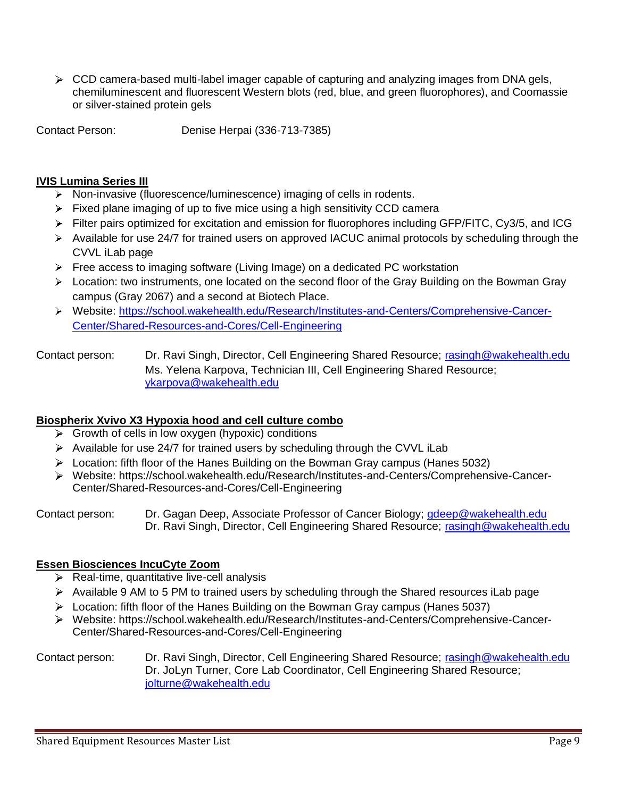$\triangleright$  CCD camera-based multi-label imager capable of capturing and analyzing images from DNA gels, chemiluminescent and fluorescent Western blots (red, blue, and green fluorophores), and Coomassie or silver-stained protein gels

Contact Person: Denise Herpai (336-713-7385)

# **IVIS Lumina Series III**

- $\triangleright$  Non-invasive (fluorescence/luminescence) imaging of cells in rodents.
- $\triangleright$  Fixed plane imaging of up to five mice using a high sensitivity CCD camera
- $\triangleright$  Filter pairs optimized for excitation and emission for fluorophores including GFP/FITC, Cy3/5, and ICG
- Available for use 24/7 for trained users on approved IACUC animal protocols by scheduling through the CVVL iLab page
- $\triangleright$  Free access to imaging software (Living Image) on a dedicated PC workstation
- $\triangleright$  Location: two instruments, one located on the second floor of the Gray Building on the Bowman Gray campus (Gray 2067) and a second at Biotech Place.
- Website: [https://school.wakehealth.edu/Research/Institutes-and-Centers/Comprehensive-Cancer-](https://school.wakehealth.edu/Research/Institutes-and-Centers/Comprehensive-Cancer-Center/Shared-Resources-and-Cores/Cell-Engineering)[Center/Shared-Resources-and-Cores/Cell-Engineering](https://school.wakehealth.edu/Research/Institutes-and-Centers/Comprehensive-Cancer-Center/Shared-Resources-and-Cores/Cell-Engineering)
- Contact person: Dr. Ravi Singh, Director, Cell Engineering Shared Resource; [rasingh@wakehealth.edu](mailto:rasingh@wakehealth.edu) Ms. Yelena Karpova, Technician III, Cell Engineering Shared Resource; [ykarpova@wakehealth.edu](mailto:ykarpova@wakehealth.edu)

# **Biospherix Xvivo X3 Hypoxia hood and cell culture combo**

- $\triangleright$  Growth of cells in low oxygen (hypoxic) conditions
- Available for use 24/7 for trained users by scheduling through the CVVL iLab
- Location: fifth floor of the Hanes Building on the Bowman Gray campus (Hanes 5032)
- Website: https://school.wakehealth.edu/Research/Institutes-and-Centers/Comprehensive-Cancer-Center/Shared-Resources-and-Cores/Cell-Engineering

Contact person: Dr. Gagan Deep, Associate Professor of Cancer Biology; [gdeep@wakehealth.edu](mailto:gdeep@wakehealth.edu) Dr. Ravi Singh, Director, Cell Engineering Shared Resource; [rasingh@wakehealth.edu](mailto:rasingh@wakehealth.edu)

# **Essen Biosciences IncuCyte Zoom**

- $\triangleright$  Real-time, quantitative live-cell analysis
- Available 9 AM to 5 PM to trained users by scheduling through the Shared resources iLab page
- $\triangleright$  Location: fifth floor of the Hanes Building on the Bowman Gray campus (Hanes 5037)
- Website: https://school.wakehealth.edu/Research/Institutes-and-Centers/Comprehensive-Cancer-Center/Shared-Resources-and-Cores/Cell-Engineering

#### Contact person: Dr. Ravi Singh, Director, Cell Engineering Shared Resource; [rasingh@wakehealth.edu](mailto:rasingh@wakehealth.edu) Dr. JoLyn Turner, Core Lab Coordinator, Cell Engineering Shared Resource; [jolturne@wakehealth.edu](mailto:jolturne@wakehealth.edu)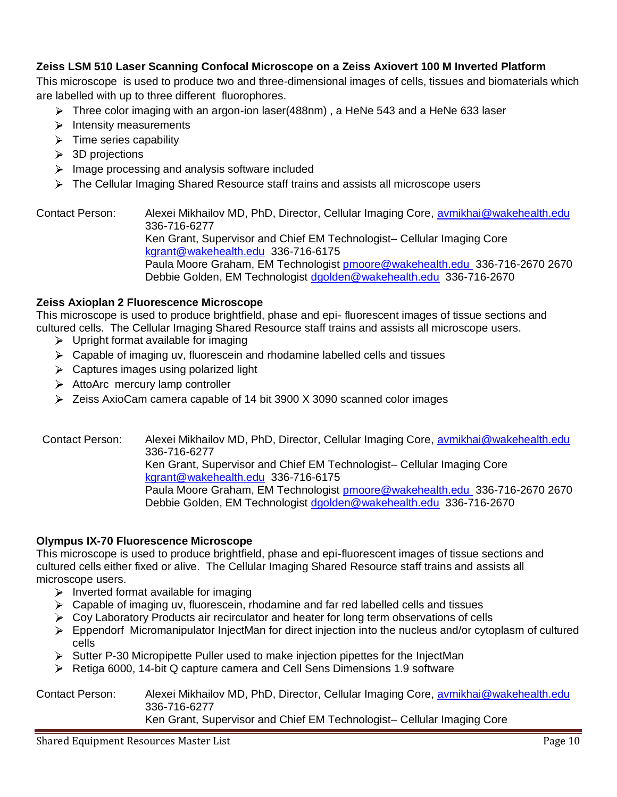# **Zeiss LSM 510 Laser Scanning Confocal Microscope on a Zeiss Axiovert 100 M Inverted Platform**

This microscope is used to produce two and three-dimensional images of cells, tissues and biomaterials which are labelled with up to three different fluorophores.

- $\triangleright$  Three color imaging with an argon-ion laser(488nm), a HeNe 543 and a HeNe 633 laser
- $\triangleright$  Intensity measurements
- $\triangleright$  Time series capability
- > 3D projections
- $\triangleright$  Image processing and analysis software included
- The Cellular Imaging Shared Resource staff trains and assists all microscope users

Contact Person: Alexei Mikhailov MD, PhD, Director, Cellular Imaging Core, avmikhai@wakehealth.edu 336-716-6277 Ken Grant, Supervisor and Chief EM Technologist– Cellular Imaging Core [kgrant@wakehealth.edu](mailto:kgrant@wakehealth.edu) 336-716-6175 Paula Moore Graham, EM Technologist [pmoore@wakehealth.edu](mailto:pmoore@wakehealth.edu) 336-716-2670 2670 Debbie Golden, EM Technologist [dgolden@wakehealth.edu](mailto:dgolden@wakehealth.edu) 336-716-2670

#### **Zeiss Axioplan 2 Fluorescence Microscope**

This microscope is used to produce brightfield, phase and epi- fluorescent images of tissue sections and cultured cells. The Cellular Imaging Shared Resource staff trains and assists all microscope users.

- $\triangleright$  Upright format available for imaging
- $\triangleright$  Capable of imaging uv, fluorescein and rhodamine labelled cells and tissues
- $\triangleright$  Captures images using polarized light
- > AttoArc mercury lamp controller
- $\geq$  Zeiss AxioCam camera capable of 14 bit 3900 X 3090 scanned color images

 Contact Person: Alexei Mikhailov MD, PhD, Director, Cellular Imaging Core, [avmikhai@wakehealth.edu](mailto:avmikhai@wakehealth.edu)  336-716-6277 Ken Grant, Supervisor and Chief EM Technologist– Cellular Imaging Core [kgrant@wakehealth.edu](mailto:kgrant@wakehealth.edu) 336-716-6175 Paula Moore Graham, EM Technologist [pmoore@wakehealth.edu](mailto:pmoore@wakehealth.edu) 336-716-2670 2670 Debbie Golden, EM Technologist [dgolden@wakehealth.edu](mailto:dgolden@wakehealth.edu) 336-716-2670

#### **Olympus IX-70 Fluorescence Microscope**

This microscope is used to produce brightfield, phase and epi-fluorescent images of tissue sections and cultured cells either fixed or alive. The Cellular Imaging Shared Resource staff trains and assists all microscope users.

- $\triangleright$  Inverted format available for imaging
- $\triangleright$  Capable of imaging uv, fluorescein, rhodamine and far red labelled cells and tissues
- $\triangleright$  Coy Laboratory Products air recirculator and heater for long term observations of cells
- $\triangleright$  Eppendorf Micromanipulator InjectMan for direct injection into the nucleus and/or cytoplasm of cultured cells
- Sutter P-30 Micropipette Puller used to make injection pipettes for the InjectMan
- ▶ Retiga 6000, 14-bit Q capture camera and Cell Sens Dimensions 1.9 software

Contact Person: Alexei Mikhailov MD, PhD, Director, Cellular Imaging Core, avmikhai@wakehealth.edu 336-716-6277 Ken Grant, Supervisor and Chief EM Technologist– Cellular Imaging Core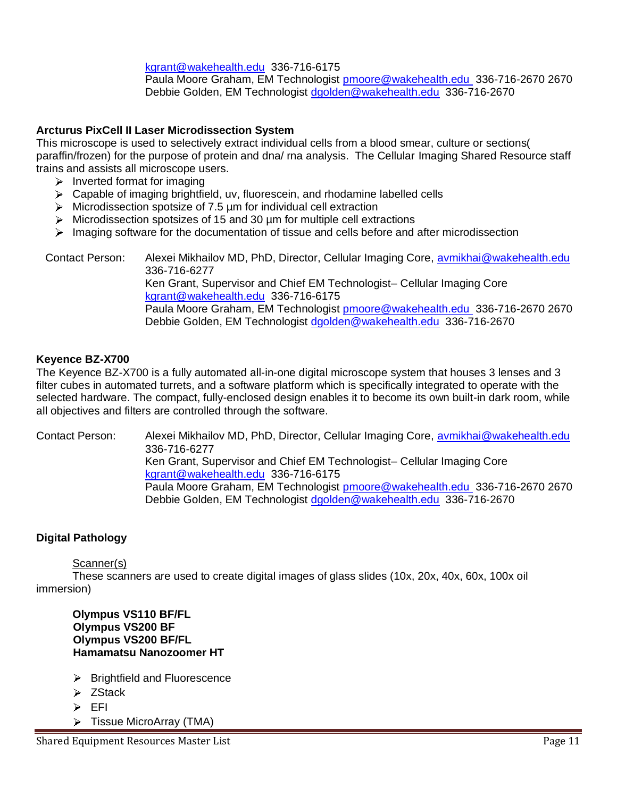# [kgrant@wakehealth.edu](mailto:kgrant@wakehealth.edu) 336-716-6175

Paula Moore Graham, EM Technologist [pmoore@wakehealth.edu](mailto:pmoore@wakehealth.edu) 336-716-2670 2670 Debbie Golden, EM Technologist [dgolden@wakehealth.edu](mailto:dgolden@wakehealth.edu) 336-716-2670

# **Arcturus PixCell II Laser Microdissection System**

This microscope is used to selectively extract individual cells from a blood smear, culture or sections( paraffin/frozen) for the purpose of protein and dna/ rna analysis. The Cellular Imaging Shared Resource staff trains and assists all microscope users.

- $\triangleright$  Inverted format for imaging
- Capable of imaging brightfield, uv, fluorescein, and rhodamine labelled cells
- $\triangleright$  Microdissection spotsize of 7.5 µm for individual cell extraction
- $\triangleright$  Microdissection spotsizes of 15 and 30  $\mu$ m for multiple cell extractions
- $\triangleright$  Imaging software for the documentation of tissue and cells before and after microdissection

 Contact Person: Alexei Mikhailov MD, PhD, Director, Cellular Imaging Core, [avmikhai@wakehealth.edu](mailto:avmikhai@wakehealth.edu)  336-716-6277

Ken Grant, Supervisor and Chief EM Technologist– Cellular Imaging Core [kgrant@wakehealth.edu](mailto:kgrant@wakehealth.edu) 336-716-6175

Paula Moore Graham, EM Technologist [pmoore@wakehealth.edu](mailto:pmoore@wakehealth.edu) 336-716-2670 2670 Debbie Golden, EM Technologist [dgolden@wakehealth.edu](mailto:dgolden@wakehealth.edu) 336-716-2670

## **Keyence BZ-X700**

The Keyence BZ-X700 is a fully automated all-in-one digital microscope system that houses 3 lenses and 3 filter cubes in automated turrets, and a software platform which is specifically integrated to operate with the selected hardware. The compact, fully-enclosed design enables it to become its own built-in dark room, while all objectives and filters are controlled through the software.

Contact Person: Alexei Mikhailov MD, PhD, Director, Cellular Imaging Core, avmikhai@wakehealth.edu 336-716-6277 Ken Grant, Supervisor and Chief EM Technologist– Cellular Imaging Core [kgrant@wakehealth.edu](mailto:kgrant@wakehealth.edu) 336-716-6175 Paula Moore Graham, EM Technologist [pmoore@wakehealth.edu](mailto:pmoore@wakehealth.edu) 336-716-2670 2670 Debbie Golden, EM Technologist [dgolden@wakehealth.edu](mailto:dgolden@wakehealth.edu) 336-716-2670

## **Digital Pathology**

#### Scanner(s)

These scanners are used to create digital images of glass slides (10x, 20x, 40x, 60x, 100x oil immersion)

#### **Olympus VS110 BF/FL Olympus VS200 BF Olympus VS200 BF/FL Hamamatsu Nanozoomer HT**

- $\triangleright$  Brightfield and Fluorescence
- > ZStack
- EFI
- $\triangleright$  Tissue MicroArray (TMA)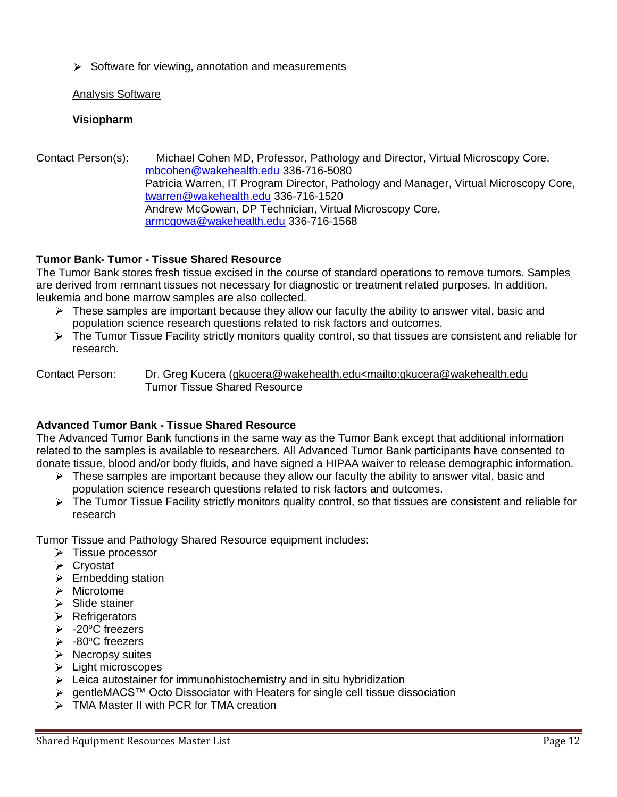$\triangleright$  Software for viewing, annotation and measurements

# Analysis Software

# **Visiopharm**

Contact Person(s): Michael Cohen MD, Professor, Pathology and Director, Virtual Microscopy Core, [mbcohen@wakehealth.edu](mailto:mbcohen@wakehealth.edu) 336-716-5080 Patricia Warren, IT Program Director, Pathology and Manager, Virtual Microscopy Core, [twarren@wakehealth.edu](mailto:twarren@wakehealth.edu) 336-716-1520 Andrew McGowan, DP Technician, Virtual Microscopy Core, [armcgowa@wakehealth.edu](mailto:armcgowa@wakehealth.edu) 336-716-1568

# **Tumor Bank- Tumor - Tissue Shared Resource**

The Tumor Bank stores fresh tissue excised in the course of standard operations to remove tumors. Samples are derived from remnant tissues not necessary for diagnostic or treatment related purposes. In addition, leukemia and bone marrow samples are also collected.

- $\triangleright$  These samples are important because they allow our faculty the ability to answer vital, basic and population science research questions related to risk factors and outcomes.
- $\triangleright$  The Tumor Tissue Facility strictly monitors quality control, so that tissues are consistent and reliable for research.

Contact Person: Dr. Greg Kucera [\(gkucera@wakehealth.edu<mailto:gkucera@wakehealth.edu](mailto:gkucera@wakehealth.edu%3cmailto:gkucera@wakehealth.edu) Tumor Tissue Shared Resource

# **Advanced Tumor Bank - Tissue Shared Resource**

The Advanced Tumor Bank functions in the same way as the Tumor Bank except that additional information related to the samples is available to researchers. All Advanced Tumor Bank participants have consented to donate tissue, blood and/or body fluids, and have signed a HIPAA waiver to release demographic information.

- $\triangleright$  These samples are important because they allow our faculty the ability to answer vital, basic and population science research questions related to risk factors and outcomes.
- $\triangleright$  The Tumor Tissue Facility strictly monitors quality control, so that tissues are consistent and reliable for research

Tumor Tissue and Pathology Shared Resource equipment includes:

- $\triangleright$  Tissue processor
- Cryostat
- $\triangleright$  Embedding station
- > Microtome
- $\triangleright$  Slide stainer
- > Refrigerators
- $\geq$  -20°C freezers
- $\geq$  -80°C freezers
- $\triangleright$  Necropsy suites
- $\blacktriangleright$  Light microscopes
- $\triangleright$  Leica autostainer for immunohistochemistry and in situ hybridization
- gentleMACS™ Octo Dissociator with Heaters for single cell tissue dissociation
- > TMA Master II with PCR for TMA creation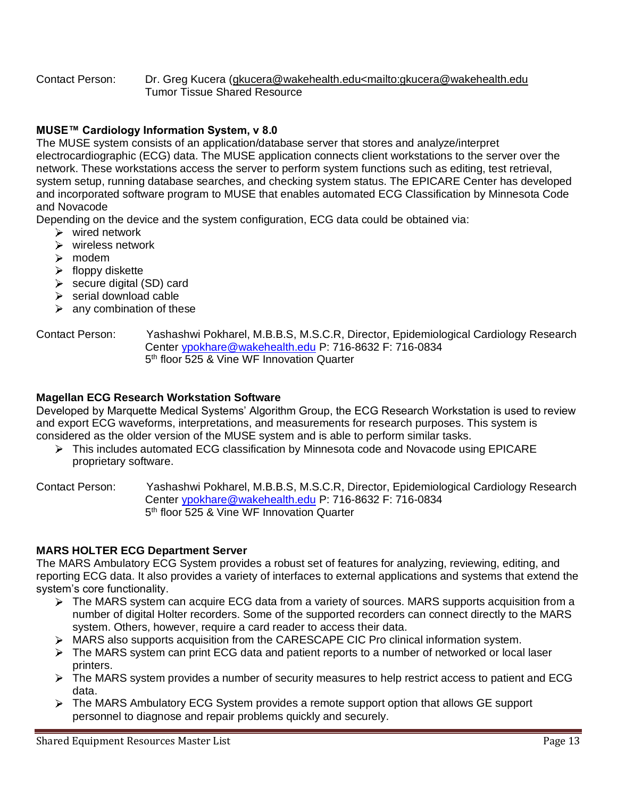#### Contact Person: Dr. Greg Kucera [\(gkucera@wakehealth.edu<mailto:gkucera@wakehealth.edu](mailto:gkucera@wakehealth.edu%3cmailto:gkucera@wakehealth.edu) Tumor Tissue Shared Resource

# **MUSE™ Cardiology Information System, v 8.0**

The MUSE system consists of an application/database server that stores and analyze/interpret electrocardiographic (ECG) data. The MUSE application connects client workstations to the server over the network. These workstations access the server to perform system functions such as editing, test retrieval, system setup, running database searches, and checking system status. The EPICARE Center has developed and incorporated software program to MUSE that enables automated ECG Classification by Minnesota Code and Novacode

Depending on the device and the system configuration, ECG data could be obtained via:

- $\triangleright$  wired network
- $\triangleright$  wireless network
- > modem
- $\blacktriangleright$  floppy diskette
- $\triangleright$  secure digital (SD) card
- $\triangleright$  serial download cable
- $\triangleright$  any combination of these

#### Contact Person: Yashashwi Pokharel, M.B.B.S, M.S.C.R, Director, Epidemiological Cardiology Research Center [ypokhare@wakehealth.edu](mailto:ypokhare@wakehealth.edu) P: 716-8632 F: 716-0834 5<sup>th</sup> floor 525 & Vine WF Innovation Quarter

#### **Magellan ECG Research Workstation Software**

Developed by Marquette Medical Systems' Algorithm Group, the ECG Research Workstation is used to review and export ECG waveforms, interpretations, and measurements for research purposes. This system is considered as the older version of the MUSE system and is able to perform similar tasks.

▶ This includes automated ECG classification by Minnesota code and Novacode using EPICARE proprietary software.

Contact Person: Yashashwi Pokharel, M.B.B.S, M.S.C.R, Director, Epidemiological Cardiology Research Center [ypokhare@wakehealth.edu](mailto:ypokhare@wakehealth.edu) P: 716-8632 F: 716-0834 5<sup>th</sup> floor 525 & Vine WF Innovation Quarter

## **MARS HOLTER ECG Department Server**

The MARS Ambulatory ECG System provides a robust set of features for analyzing, reviewing, editing, and reporting ECG data. It also provides a variety of interfaces to external applications and systems that extend the system's core functionality.

- > The MARS system can acquire ECG data from a variety of sources. MARS supports acquisition from a number of digital Holter recorders. Some of the supported recorders can connect directly to the MARS system. Others, however, require a card reader to access their data.
- MARS also supports acquisition from the CARESCAPE CIC Pro clinical information system.
- $\triangleright$  The MARS system can print ECG data and patient reports to a number of networked or local laser printers.
- $\triangleright$  The MARS system provides a number of security measures to help restrict access to patient and ECG data.
- $\triangleright$  The MARS Ambulatory ECG System provides a remote support option that allows GE support personnel to diagnose and repair problems quickly and securely.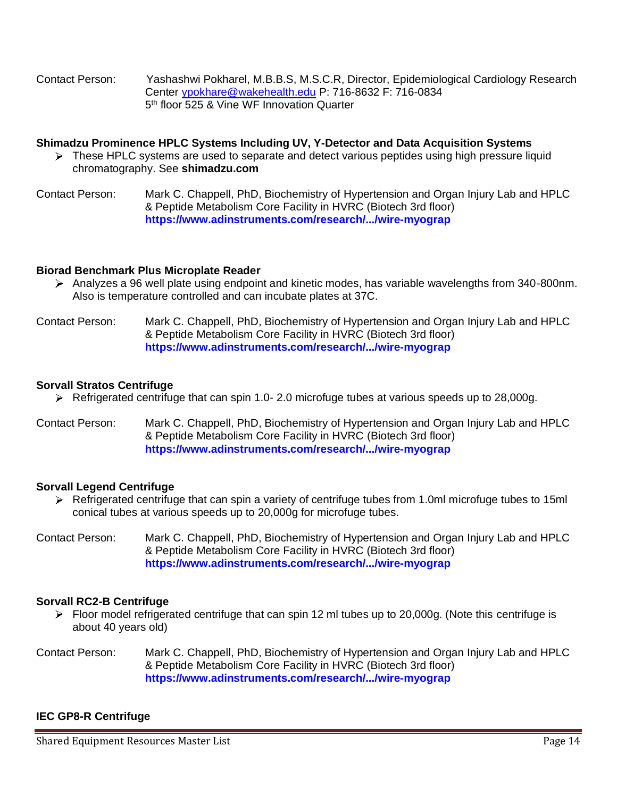Contact Person: Yashashwi Pokharel, M.B.B.S, M.S.C.R, Director, Epidemiological Cardiology Research Center [ypokhare@wakehealth.edu](mailto:ypokhare@wakehealth.edu) P: 716-8632 F: 716-0834 5<sup>th</sup> floor 525 & Vine WF Innovation Quarter

## **Shimadzu Prominence HPLC Systems Including UV, Y-Detector and Data Acquisition Systems**

- $\triangleright$  These HPLC systems are used to separate and detect various peptides using high pressure liquid chromatography. See **shimadzu.com**
- Contact Person: Mark C. Chappell, PhD, Biochemistry of Hypertension and Organ Injury Lab and HPLC & Peptide Metabolism Core Facility in HVRC (Biotech 3rd floor) **<https://www.adinstruments.com/research/.../wire-myograp>**

## **Biorad Benchmark Plus Microplate Reader**

- $\triangleright$  Analyzes a 96 well plate using endpoint and kinetic modes, has variable wavelengths from 340-800nm. Also is temperature controlled and can incubate plates at 37C.
- Contact Person: Mark C. Chappell, PhD, Biochemistry of Hypertension and Organ Injury Lab and HPLC & Peptide Metabolism Core Facility in HVRC (Biotech 3rd floor) **<https://www.adinstruments.com/research/.../wire-myograp>**

#### **Sorvall Stratos Centrifuge**

- Refrigerated centrifuge that can spin 1.0- 2.0 microfuge tubes at various speeds up to 28,000g.
- Contact Person: Mark C. Chappell, PhD, Biochemistry of Hypertension and Organ Injury Lab and HPLC & Peptide Metabolism Core Facility in HVRC (Biotech 3rd floor) **<https://www.adinstruments.com/research/.../wire-myograp>**

## **Sorvall Legend Centrifuge**

- $\triangleright$  Refrigerated centrifuge that can spin a variety of centrifuge tubes from 1.0ml microfuge tubes to 15ml conical tubes at various speeds up to 20,000g for microfuge tubes.
- Contact Person: Mark C. Chappell, PhD, Biochemistry of Hypertension and Organ Injury Lab and HPLC & Peptide Metabolism Core Facility in HVRC (Biotech 3rd floor) **<https://www.adinstruments.com/research/.../wire-myograp>**

## **Sorvall RC2-B Centrifuge**

- Floor model refrigerated centrifuge that can spin 12 ml tubes up to 20,000g. (Note this centrifuge is about 40 years old)
- Contact Person: Mark C. Chappell, PhD, Biochemistry of Hypertension and Organ Injury Lab and HPLC & Peptide Metabolism Core Facility in HVRC (Biotech 3rd floor) **<https://www.adinstruments.com/research/.../wire-myograp>**

## **IEC GP8-R Centrifuge**

Shared Equipment Resources Master List Page 14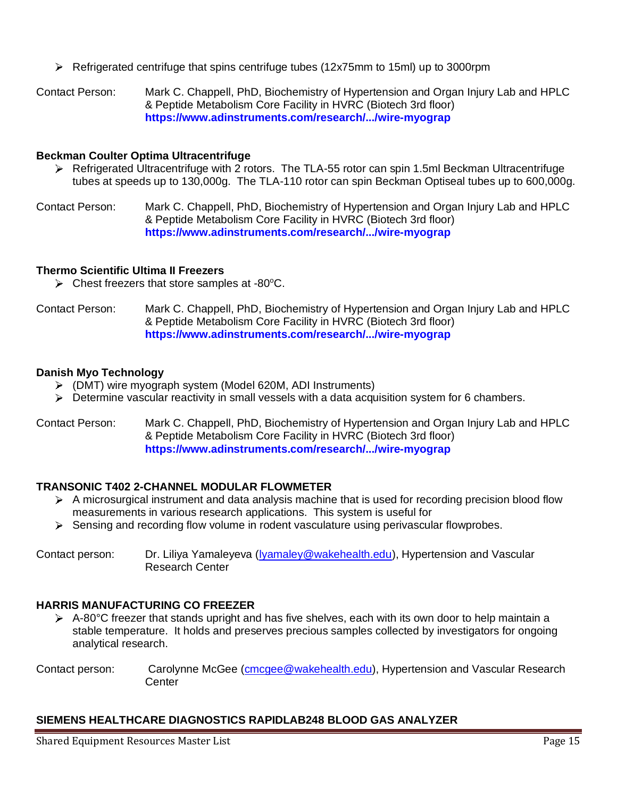Refrigerated centrifuge that spins centrifuge tubes (12x75mm to 15ml) up to 3000rpm

Contact Person: Mark C. Chappell, PhD, Biochemistry of Hypertension and Organ Injury Lab and HPLC & Peptide Metabolism Core Facility in HVRC (Biotech 3rd floor) **<https://www.adinstruments.com/research/.../wire-myograp>**

#### **Beckman Coulter Optima Ultracentrifuge**

- Refrigerated Ultracentrifuge with 2 rotors. The TLA-55 rotor can spin 1.5ml Beckman Ultracentrifuge tubes at speeds up to 130,000g. The TLA-110 rotor can spin Beckman Optiseal tubes up to 600,000g.
- Contact Person: Mark C. Chappell, PhD, Biochemistry of Hypertension and Organ Injury Lab and HPLC & Peptide Metabolism Core Facility in HVRC (Biotech 3rd floor) **<https://www.adinstruments.com/research/.../wire-myograp>**

#### **Thermo Scientific Ultima II Freezers**

 $\triangleright$  Chest freezers that store samples at -80 $^{\circ}$ C.

Contact Person: Mark C. Chappell, PhD, Biochemistry of Hypertension and Organ Injury Lab and HPLC & Peptide Metabolism Core Facility in HVRC (Biotech 3rd floor) **<https://www.adinstruments.com/research/.../wire-myograp>**

#### **Danish Myo Technology**

- (DMT) wire myograph system (Model 620M, ADI Instruments)
- $\triangleright$  Determine vascular reactivity in small vessels with a data acquisition system for 6 chambers.

#### Contact Person: Mark C. Chappell, PhD, Biochemistry of Hypertension and Organ Injury Lab and HPLC & Peptide Metabolism Core Facility in HVRC (Biotech 3rd floor) **<https://www.adinstruments.com/research/.../wire-myograp>**

## **TRANSONIC T402 2-CHANNEL MODULAR FLOWMETER**

- A microsurgical instrument and data analysis machine that is used for recording precision blood flow measurements in various research applications. This system is useful for
- $\triangleright$  Sensing and recording flow volume in rodent vasculature using perivascular flowprobes.

Contact person: Dr. Liliya Yamaleyeva [\(lyamaley@wakehealth.edu\)](mailto:lyamaley@wakehealth.edu), Hypertension and Vascular Research Center

## **HARRIS MANUFACTURING CO FREEZER**

- $\triangleright$  A-80°C freezer that stands upright and has five shelves, each with its own door to help maintain a stable temperature. It holds and preserves precious samples collected by investigators for ongoing analytical research.
- Contact person: Carolynne McGee [\(cmcgee@wakehealth.edu\)](mailto:cmcgee@wakehealth.edu), Hypertension and Vascular Research **Center**

# **SIEMENS HEALTHCARE DIAGNOSTICS RAPIDLAB248 BLOOD GAS ANALYZER**

Shared Equipment Resources Master List Page 15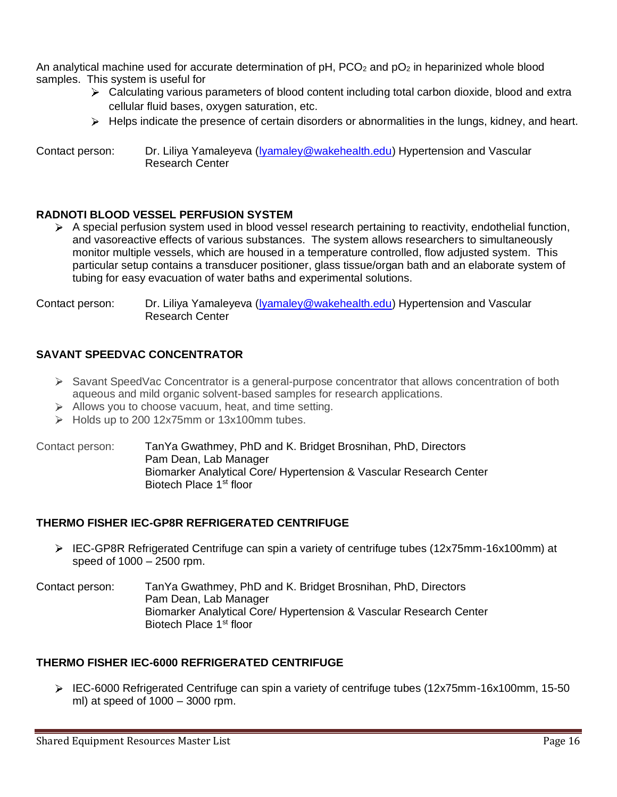An analytical machine used for accurate determination of  $pH$ , PCO<sub>2</sub> and  $pO<sub>2</sub>$  in heparinized whole blood samples. This system is useful for

- $\triangleright$  Calculating various parameters of blood content including total carbon dioxide, blood and extra cellular fluid bases, oxygen saturation, etc.
- $\triangleright$  Helps indicate the presence of certain disorders or abnormalities in the lungs, kidney, and heart.

Contact person: Dr. Liliya Yamaleyeva [\(lyamaley@wakehealth.edu\)](mailto:lyamaley@wakehealth.edu) Hypertension and Vascular Research Center

## **RADNOTI BLOOD VESSEL PERFUSION SYSTEM**

 $\triangleright$  A special perfusion system used in blood vessel research pertaining to reactivity, endothelial function, and vasoreactive effects of various substances. The system allows researchers to simultaneously monitor multiple vessels, which are housed in a temperature controlled, flow adjusted system. This particular setup contains a transducer positioner, glass tissue/organ bath and an elaborate system of tubing for easy evacuation of water baths and experimental solutions.

Contact person: Dr. Liliya Yamaleyeva [\(lyamaley@wakehealth.edu\)](file://///medctr/dfs/hyper1$/HYP/HYPER/USERS/BROSNIB/Cari/Doc) Hypertension and Vascular Research Center

# **SAVANT SPEEDVAC CONCENTRATOR**

- Savant SpeedVac Concentrator is a general-purpose concentrator that allows concentration of both aqueous and mild organic solvent-based samples for research applications.
- $\triangleright$  Allows you to choose vacuum, heat, and time setting.
- Holds up to 200 12x75mm or 13x100mm tubes.

Contact person: TanYa Gwathmey, PhD and K. Bridget Brosnihan, PhD, Directors Pam Dean, Lab Manager Biomarker Analytical Core/ Hypertension & Vascular Research Center Biotech Place 1st floor

## **THERMO FISHER IEC-GP8R REFRIGERATED CENTRIFUGE**

- ▶ IEC-GP8R Refrigerated Centrifuge can spin a variety of centrifuge tubes (12x75mm-16x100mm) at speed of 1000 – 2500 rpm.
- Contact person: TanYa Gwathmey, PhD and K. Bridget Brosnihan, PhD, Directors Pam Dean, Lab Manager Biomarker Analytical Core/ Hypertension & Vascular Research Center Biotech Place 1st floor

## **THERMO FISHER IEC-6000 REFRIGERATED CENTRIFUGE**

 $\triangleright$  IEC-6000 Refrigerated Centrifuge can spin a variety of centrifuge tubes (12x75mm-16x100mm, 15-50) ml) at speed of 1000 – 3000 rpm.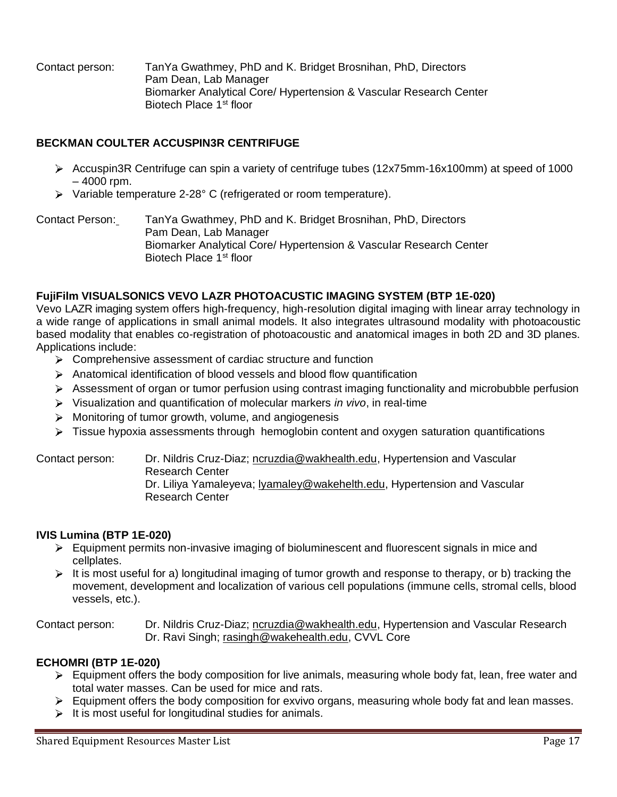Contact person: TanYa Gwathmey, PhD and K. Bridget Brosnihan, PhD, Directors Pam Dean, Lab Manager Biomarker Analytical Core/ Hypertension & Vascular Research Center Biotech Place 1<sup>st</sup> floor

# **BECKMAN COULTER ACCUSPIN3R CENTRIFUGE**

- Accuspin3R Centrifuge can spin a variety of centrifuge tubes (12x75mm-16x100mm) at speed of 1000 – 4000 rpm.
- Variable temperature 2-28° C (refrigerated or room temperature).

Contact Person: TanYa Gwathmey, PhD and K. Bridget Brosnihan, PhD, Directors Pam Dean, Lab Manager Biomarker Analytical Core/ Hypertension & Vascular Research Center Biotech Place 1<sup>st</sup> floor

# **FujiFilm VISUALSONICS VEVO LAZR PHOTOACUSTIC IMAGING SYSTEM (BTP 1E-020)**

Vevo LAZR imaging system offers high-frequency, high-resolution digital imaging with linear array technology in a wide range of applications in small animal models. It also integrates ultrasound modality with photoacoustic based modality that enables co-registration of photoacoustic and anatomical images in both 2D and 3D planes. Applications include:

- $\triangleright$  Comprehensive assessment of cardiac structure and function
- $\triangleright$  Anatomical identification of blood vessels and blood flow quantification
- $\triangleright$  Assessment of organ or tumor perfusion using contrast imaging functionality and microbubble perfusion
- Visualization and quantification of molecular markers *in vivo*, in real-time
- $\triangleright$  Monitoring of tumor growth, volume, and angiogenesis
- Fissue hypoxia assessments through hemoglobin content and oxygen saturation quantifications

Contact person: Dr. Nildris Cruz-Diaz; [ncruzdia@wakhealth.edu,](mailto:ncruzdia@wakhealth.edu) Hypertension and Vascular Research Center Dr. Liliya Yamaleyeva; [lyamaley@wakehelth.edu,](mailto:lyamaley@wakehelth.edu) Hypertension and Vascular

Research Center

## **IVIS Lumina (BTP 1E-020)**

- Equipment permits non-invasive imaging of bioluminescent and fluorescent signals in mice and cellplates.
- It is most useful for a) longitudinal imaging of tumor growth and response to therapy, or b) tracking the movement, development and localization of various cell populations (immune cells, stromal cells, blood vessels, etc.).

Contact person: Dr. Nildris Cruz-Diaz; [ncruzdia@wakhealth.edu,](mailto:ncruzdia@wakhealth.edu) Hypertension and Vascular Research Dr. Ravi Singh; [rasingh@wakehealth.edu,](mailto:rasingh@wakehealth.edu) CVVL Core

# **ECHOMRI (BTP 1E-020)**

- $\triangleright$  Equipment offers the body composition for live animals, measuring whole body fat, lean, free water and total water masses. Can be used for mice and rats.
- Equipment offers the body composition for exvivo organs, measuring whole body fat and lean masses.
- $\triangleright$  It is most useful for longitudinal studies for animals.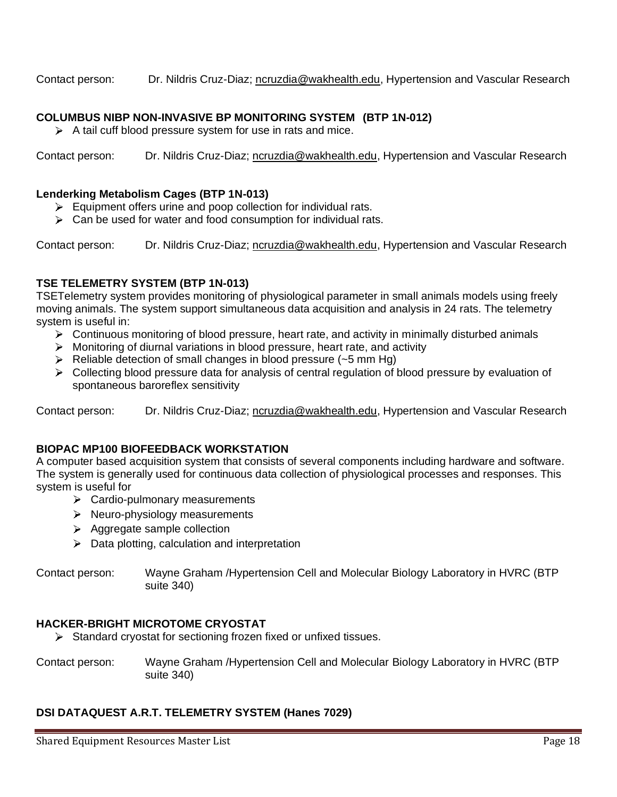Contact person: Dr. Nildris Cruz-Diaz; [ncruzdia@wakhealth.edu,](mailto:ncruzdia@wakhealth.edu) Hypertension and Vascular Research

## **COLUMBUS NIBP NON-INVASIVE BP MONITORING SYSTEM (BTP 1N-012)**

 $\triangleright$  A tail cuff blood pressure system for use in rats and mice.

Contact person: Dr. Nildris Cruz-Diaz; [ncruzdia@wakhealth.edu,](mailto:ncruzdia@wakhealth.edu) Hypertension and Vascular Research

#### **Lenderking Metabolism Cages (BTP 1N-013)**

- $\triangleright$  Equipment offers urine and poop collection for individual rats.
- $\triangleright$  Can be used for water and food consumption for individual rats.

Contact person: Dr. Nildris Cruz-Diaz; [ncruzdia@wakhealth.edu,](mailto:ncruzdia@wakhealth.edu) Hypertension and Vascular Research

## **TSE TELEMETRY SYSTEM (BTP 1N-013)**

TSETelemetry system provides monitoring of physiological parameter in small animals models using freely moving animals. The system support simultaneous data acquisition and analysis in 24 rats. The telemetry system is useful in:

- $\triangleright$  Continuous monitoring of blood pressure, heart rate, and activity in minimally disturbed animals
- $\triangleright$  Monitoring of diurnal variations in blood pressure, heart rate, and activity
- $\triangleright$  Reliable detection of small changes in blood pressure (~5 mm Hg)
- $\triangleright$  Collecting blood pressure data for analysis of central regulation of blood pressure by evaluation of spontaneous baroreflex sensitivity

Contact person: Dr. Nildris Cruz-Diaz; [ncruzdia@wakhealth.edu,](mailto:ncruzdia@wakhealth.edu) Hypertension and Vascular Research

# **BIOPAC MP100 BIOFEEDBACK WORKSTATION**

A computer based acquisition system that consists of several components including hardware and software. The system is generally used for continuous data collection of physiological processes and responses. This system is useful for

- $\triangleright$  Cardio-pulmonary measurements
- $\triangleright$  Neuro-physiology measurements
- $\triangleright$  Aggregate sample collection
- $\triangleright$  Data plotting, calculation and interpretation

Contact person: Wayne Graham /Hypertension Cell and Molecular Biology Laboratory in HVRC (BTP suite 340)

#### **HACKER-BRIGHT MICROTOME CRYOSTAT**

- $\triangleright$  Standard cryostat for sectioning frozen fixed or unfixed tissues.
- Contact person: Wayne Graham /Hypertension Cell and Molecular Biology Laboratory in HVRC (BTP suite 340)

## **DSI DATAQUEST A.R.T. TELEMETRY SYSTEM (Hanes 7029)**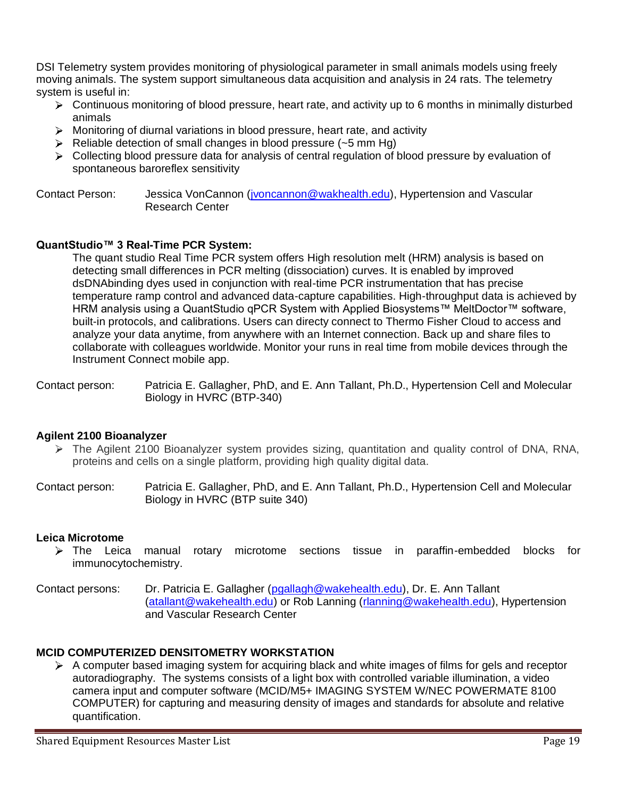DSI Telemetry system provides monitoring of physiological parameter in small animals models using freely moving animals. The system support simultaneous data acquisition and analysis in 24 rats. The telemetry system is useful in:

- Continuous monitoring of blood pressure, heart rate, and activity up to 6 months in minimally disturbed animals
- $\triangleright$  Monitoring of diurnal variations in blood pressure, heart rate, and activity
- $\triangleright$  Reliable detection of small changes in blood pressure (~5 mm Hg)
- $\triangleright$  Collecting blood pressure data for analysis of central regulation of blood pressure by evaluation of spontaneous baroreflex sensitivity

Contact Person: Jessica VonCannon [\(jvoncannon@wakhealth.edu\)](mailto:jvoncannon@wakhealth.edu), Hypertension and Vascular Research Center

# **QuantStudio™ 3 Real-Time PCR System:**

The quant studio Real Time PCR system offers High resolution melt (HRM) analysis is based on detecting small differences in PCR melting (dissociation) curves. It is enabled by improved dsDNAbinding dyes used in conjunction with real-time PCR instrumentation that has precise temperature ramp control and advanced data-capture capabilities. High-throughput data is achieved by HRM analysis using a QuantStudio qPCR System with Applied Biosystems™ MeltDoctor™ software, built-in protocols, and calibrations. Users can directy connect to Thermo Fisher Cloud to access and analyze your data anytime, from anywhere with an Internet connection. Back up and share files to collaborate with colleagues worldwide. Monitor your runs in real time from mobile devices through the Instrument Connect mobile app.

Contact person: Patricia E. Gallagher, PhD, and E. Ann Tallant, Ph.D., Hypertension Cell and Molecular Biology in HVRC (BTP-340)

## **Agilent 2100 Bioanalyzer**

- $\triangleright$  The Agilent 2100 Bioanalyzer system provides sizing, quantitation and quality control of DNA, RNA, proteins and cells on a single platform, providing high quality digital data.
- Contact person: Patricia E. Gallagher, PhD, and E. Ann Tallant, Ph.D., Hypertension Cell and Molecular Biology in HVRC (BTP suite 340)

## **Leica Microtome**

- The Leica manual rotary microtome sections tissue in paraffin-embedded blocks for immunocytochemistry.
- Contact persons: Dr. Patricia E. Gallagher [\(pgallagh@wakehealth.edu\)](mailto:pgallagh@wakehealth.edu), Dr. E. Ann Tallant [\(atallant@wakehealth.edu\)](mailto:atallant@wakehealth.edu) or Rob Lanning [\(rlanning@wakehealth.edu\)](mailto:rlanning@wakehealth.edu), Hypertension and Vascular Research Center

## **MCID COMPUTERIZED DENSITOMETRY WORKSTATION**

 $\triangleright$  A computer based imaging system for acquiring black and white images of films for gels and receptor autoradiography. The systems consists of a light box with controlled variable illumination, a video camera input and computer software (MCID/M5+ IMAGING SYSTEM W/NEC POWERMATE 8100 COMPUTER) for capturing and measuring density of images and standards for absolute and relative quantification.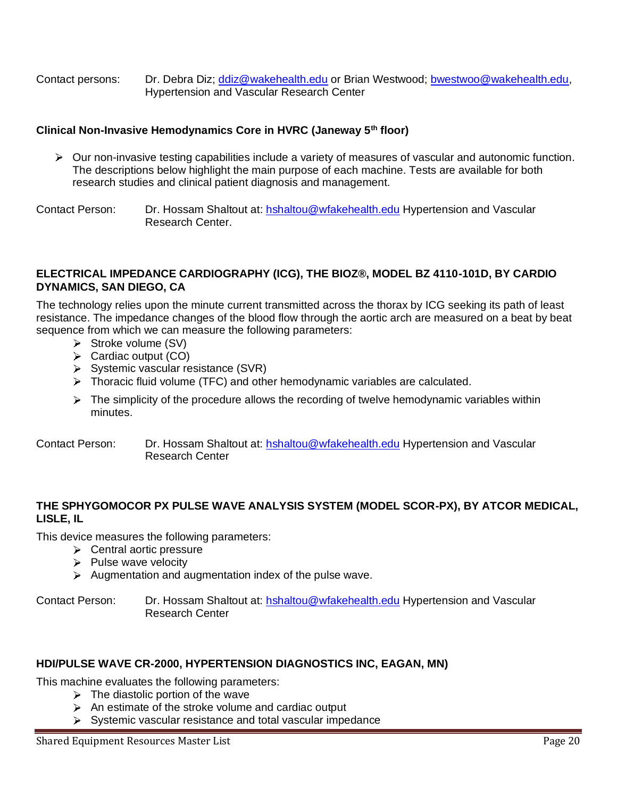Contact persons: Dr. Debra Diz; [ddiz@wakehealth.edu](mailto:ddiz@wakehealth.edu) or Brian Westwood; [bwestwoo@wakehealth.edu,](mailto:bwestwoo@wakehealth.edu) Hypertension and Vascular Research Center

# **Clinical Non-Invasive Hemodynamics Core in HVRC (Janeway 5th floor)**

 $\triangleright$  Our non-invasive testing capabilities include a variety of measures of vascular and autonomic function. The descriptions below highlight the main purpose of each machine. Tests are available for both research studies and clinical patient diagnosis and management.

Contact Person: Dr. Hossam Shaltout at: [hshaltou@wfakehealth.edu](mailto:hshaltou@wfakehealth.edu) Hypertension and Vascular Research Center.

#### **ELECTRICAL IMPEDANCE CARDIOGRAPHY (ICG), THE BIOZ®, MODEL BZ 4110-101D, BY CARDIO DYNAMICS, SAN DIEGO, CA**

The technology relies upon the minute current transmitted across the thorax by ICG seeking its path of least resistance. The impedance changes of the blood flow through the aortic arch are measured on a beat by beat sequence from which we can measure the following parameters:

- $\triangleright$  Stroke volume (SV)
- $\triangleright$  Cardiac output (CO)
- $\triangleright$  Systemic vascular resistance (SVR)
- $\triangleright$  Thoracic fluid volume (TFC) and other hemodynamic variables are calculated.
- $\triangleright$  The simplicity of the procedure allows the recording of twelve hemodynamic variables within minutes.
- Contact Person: Dr. Hossam Shaltout at: [hshaltou@wfakehealth.edu](mailto:hshaltou@wfakehealth.edu) Hypertension and Vascular Research Center

## **THE SPHYGOMOCOR PX PULSE WAVE ANALYSIS SYSTEM (MODEL SCOR-PX), BY ATCOR MEDICAL, LISLE, IL**

This device measures the following parameters:

- $\triangleright$  Central aortic pressure
- $\triangleright$  Pulse wave velocity
- $\triangleright$  Augmentation and augmentation index of the pulse wave.

Contact Person: Dr. Hossam Shaltout at: [hshaltou@wfakehealth.edu](mailto:hshaltou@wfakehealth.edu) Hypertension and Vascular Research Center

## **HDI/PULSE WAVE CR-2000, HYPERTENSION DIAGNOSTICS INC, EAGAN, MN)**

This machine evaluates the following parameters:

- $\triangleright$  The diastolic portion of the wave
- $\triangleright$  An estimate of the stroke volume and cardiac output
- $\triangleright$  Systemic vascular resistance and total vascular impedance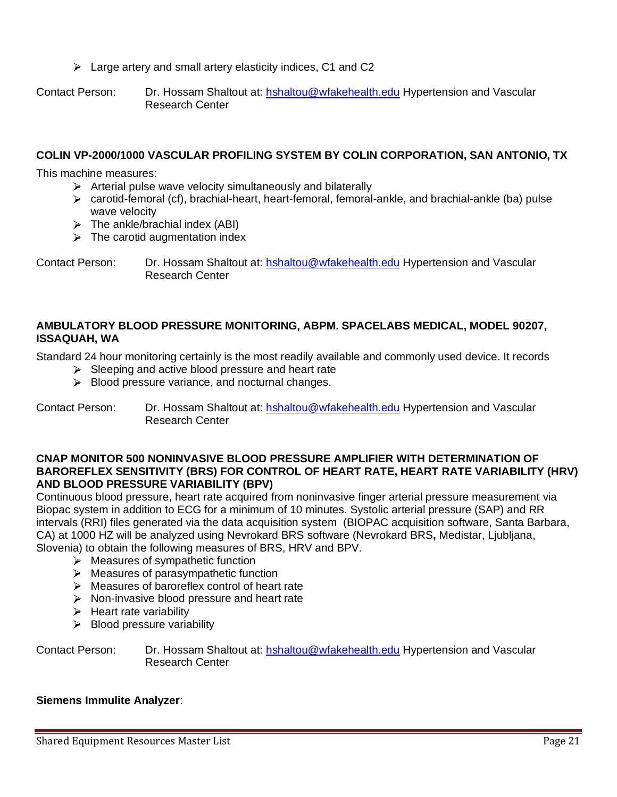Large artery and small artery elasticity indices, C1 and C2

Contact Person: Dr. Hossam Shaltout at: [hshaltou@wfakehealth.edu](mailto:hshaltou@wfakehealth.edu) Hypertension and Vascular Research Center

# **COLIN VP-2000/1000 VASCULAR PROFILING SYSTEM BY COLIN CORPORATION, SAN ANTONIO, TX**

This machine measures:

- $\triangleright$  Arterial pulse wave velocity simultaneously and bilaterally
- $\triangleright$  carotid-femoral (cf), brachial-heart, heart-femoral, femoral-ankle, and brachial-ankle (ba) pulse wave velocity
- $\triangleright$  The ankle/brachial index (ABI)
- $\triangleright$  The carotid augmentation index

Contact Person: Dr. Hossam Shaltout at: [hshaltou@wfakehealth.edu](mailto:hshaltou@wfakehealth.edu) Hypertension and Vascular Research Center

# **AMBULATORY BLOOD PRESSURE MONITORING, ABPM. SPACELABS MEDICAL, MODEL 90207, ISSAQUAH, WA**

Standard 24 hour monitoring certainly is the most readily available and commonly used device. It records

- $\triangleright$  Sleeping and active blood pressure and heart rate
- $\triangleright$  Blood pressure variance, and nocturnal changes.

Contact Person: Dr. Hossam Shaltout at: [hshaltou@wfakehealth.edu](mailto:hshaltou@wfakehealth.edu) Hypertension and Vascular Research Center

#### **CNAP MONITOR 500 NONINVASIVE BLOOD PRESSURE AMPLIFIER WITH DETERMINATION OF BAROREFLEX SENSITIVITY (BRS) FOR CONTROL OF HEART RATE, HEART RATE VARIABILITY (HRV) AND BLOOD PRESSURE VARIABILITY (BPV)**

Continuous blood pressure, heart rate acquired from noninvasive finger arterial pressure measurement via Biopac system in addition to ECG for a minimum of 10 minutes. Systolic arterial pressure (SAP) and RR intervals (RRI) files generated via the data acquisition system (BIOPAC acquisition software, Santa Barbara, CA) at 1000 HZ will be analyzed using Nevrokard BRS software (Nevrokard BRS**,** Medistar, Ljubljana, Slovenia) to obtain the following measures of BRS, HRV and BPV.

- $\triangleright$  Measures of sympathetic function
- $\triangleright$  Measures of parasympathetic function
- > Measures of baroreflex control of heart rate
- $\triangleright$  Non-invasive blood pressure and heart rate
- $\triangleright$  Heart rate variability
- $\triangleright$  Blood pressure variability

Contact Person: Dr. Hossam Shaltout at: [hshaltou@wfakehealth.edu](mailto:hshaltou@wfakehealth.edu) Hypertension and Vascular Research Center

## **Siemens Immulite Analyzer**: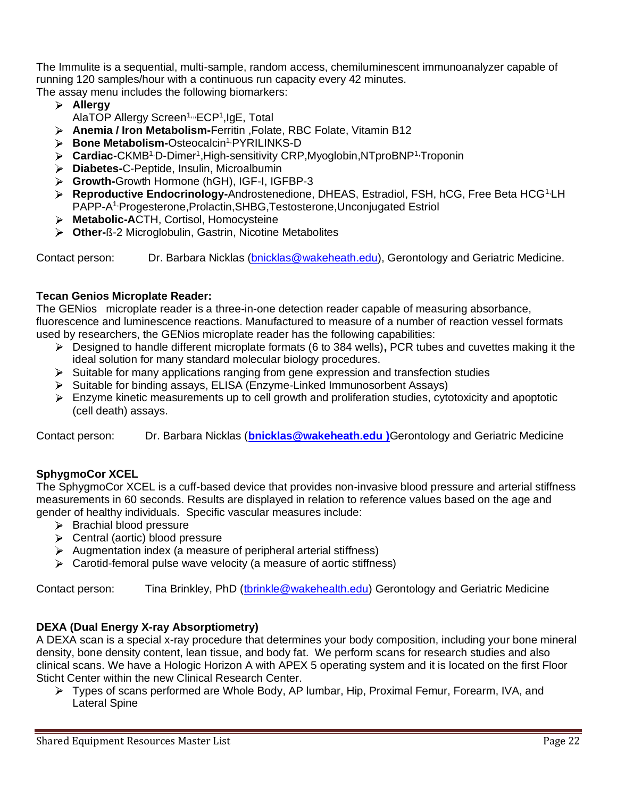The Immulite is a sequential, multi-sample, random access, chemiluminescent immunoanalyzer capable of running 120 samples/hour with a continuous run capacity every 42 minutes. The assay menu includes the following biomarkers:

- **Allergy**
	- AlaTOP Allergy Screen<sup>1,,,</sup>ECP<sup>1</sup>,IgE, Total
- **Anemia / Iron Metabolism-**Ferritin ,Folate, RBC Folate, Vitamin B12
- **Bone Metabolism-**Osteocalcin1,PYRILINKS-D
- Cardiac-CKMB<sup>1,</sup>D-Dimer<sup>1</sup>,High-sensitivity CRP,Myoglobin,NTproBNP<sup>1,</sup>Troponin
- **Diabetes-**C-Peptide, Insulin, Microalbumin
- **Growth-**Growth Hormone (hGH), IGF-I, IGFBP-3
- **Reproductive Endocrinology-Androstenedione, DHEAS, Estradiol, FSH, hCG, Free Beta HCG<sup>1,</sup>LH** PAPP-A<sup>1,</sup>Progesterone,Prolactin,SHBG,Testosterone,Unconjugated Estriol
- **Metabolic-A**CTH, Cortisol, Homocysteine
- **Other-**ß-2 Microglobulin, Gastrin, Nicotine Metabolites

Contact person: Dr. Barbara Nicklas (bnicklas @wakeheath.edu), Gerontology and Geriatric Medicine.

## **Tecan Genios Microplate Reader:**

The GENios microplate reader is a three-in-one detection reader capable of measuring absorbance, fluorescence and luminescence reactions. Manufactured to measure of a number of reaction vessel formats used by researchers, the GENios microplate reader has the following capabilities:

- Designed to handle different microplate formats (6 to 384 wells)**,** PCR tubes and cuvettes making it the ideal solution for many standard molecular biology procedures.
- $\triangleright$  Suitable for many applications ranging from gene expression and transfection studies
- $\triangleright$  Suitable for binding assays, ELISA (Enzyme-Linked Immunosorbent Assays)
- $\triangleright$  Enzyme kinetic measurements up to cell growth and proliferation studies, cytotoxicity and apoptotic (cell death) assays.

Contact person: Dr. Barbara Nicklas (**[bnicklas@wakeheath.edu](mailto:bnicklas@wakeheath.edu) )**Gerontology and Geriatric Medicine

## **SphygmoCor XCEL**

The SphygmoCor XCEL is a cuff-based device that provides non-invasive blood pressure and arterial stiffness measurements in 60 seconds. Results are displayed in relation to reference values based on the age and gender of healthy individuals. Specific vascular measures include:

- $\triangleright$  Brachial blood pressure
- $\triangleright$  Central (aortic) blood pressure
- $\triangleright$  Augmentation index (a measure of peripheral arterial stiffness)
- $\triangleright$  Carotid-femoral pulse wave velocity (a measure of aortic stiffness)

Contact person: Tina Brinkley, PhD [\(tbrinkle@wakehealth.edu\)](mailto:tbrinkle@wakehealth.edu) Gerontology and Geriatric Medicine

## **DEXA (Dual Energy X-ray Absorptiometry)**

A DEXA scan is a special x-ray procedure that determines your body composition, including your bone mineral density, bone density content, lean tissue, and body fat. We perform scans for research studies and also clinical scans. We have a Hologic Horizon A with APEX 5 operating system and it is located on the first Floor Sticht Center within the new Clinical Research Center.

Types of scans performed are Whole Body, AP lumbar, Hip, Proximal Femur, Forearm, IVA, and Lateral Spine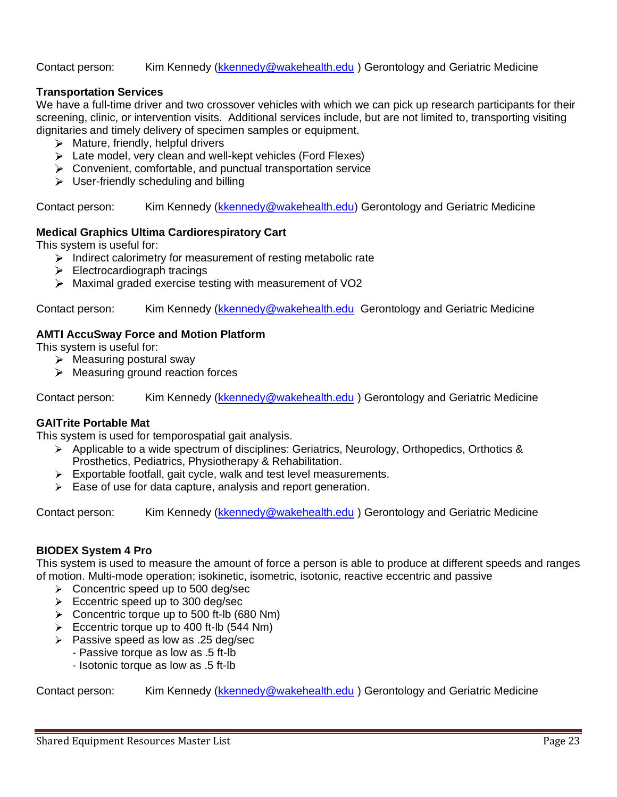#### Contact person: Kim Kennedy [\(kkennedy@wakehealth.edu](mailto:kkennedy@wakehealth.edu)) Gerontology and Geriatric Medicine

# **Transportation Services**

We have a full-time driver and two crossover vehicles with which we can pick up research participants for their screening, clinic, or intervention visits. Additional services include, but are not limited to, transporting visiting dignitaries and timely delivery of specimen samples or equipment.

- $\triangleright$  Mature, friendly, helpful drivers
- Eate model, very clean and well-kept vehicles (Ford Flexes)
- $\triangleright$  Convenient, comfortable, and punctual transportation service
- $\triangleright$  User-friendly scheduling and billing

Contact person: Kim Kennedy [\(kkennedy@wakehealth.edu\)](mailto:kkennedy@wakehealth.edu) Gerontology and Geriatric Medicine

## **Medical Graphics Ultima Cardiorespiratory Cart**

This system is useful for:

- $\triangleright$  Indirect calorimetry for measurement of resting metabolic rate
- $\blacktriangleright$  Electrocardiograph tracings
- Maximal graded exercise testing with measurement of VO2

Contact person: Kim Kennedy [\(kkennedy@wakehealth.edu](mailto:kkennedy@wakehealth.edu) Gerontology and Geriatric Medicine

## **AMTI AccuSway Force and Motion Platform**

This system is useful for:

- $\triangleright$  Measuring postural sway
- $\triangleright$  Measuring ground reaction forces

Contact person: Kim Kennedy [\(kkennedy@wakehealth.edu](mailto:kkennedy@wakehealth.edu) ) Gerontology and Geriatric Medicine

## **GAITrite Portable Mat**

This system is used for temporospatial gait analysis.

- $\triangleright$  Applicable to a wide spectrum of disciplines: Geriatrics, Neurology, Orthopedics, Orthotics & Prosthetics, Pediatrics, Physiotherapy & Rehabilitation.
- $\triangleright$  Exportable footfall, gait cycle, walk and test level measurements.
- $\triangleright$  Ease of use for data capture, analysis and report generation.

Contact person: Kim Kennedy [\(kkennedy@wakehealth.edu](mailto:kkennedy@wakehealth.edu) ) Gerontology and Geriatric Medicine

## **BIODEX System 4 Pro**

This system is used to measure the amount of force a person is able to produce at different speeds and ranges of motion. Multi-mode operation; isokinetic, isometric, isotonic, reactive eccentric and passive

- $\triangleright$  Concentric speed up to 500 deg/sec
- $\geq$  Eccentric speed up to 300 deg/sec
- Concentric torque up to 500 ft-lb (680 Nm)
- Eccentric torque up to 400 ft-lb  $(544$  Nm)
- $\triangleright$  Passive speed as low as .25 deg/sec
	- Passive torque as low as .5 ft-lb
	- Isotonic torque as low as .5 ft-lb

Contact person: Kim Kennedy [\(kkennedy@wakehealth.edu](mailto:kkennedy@wakehealth.edu) ) Gerontology and Geriatric Medicine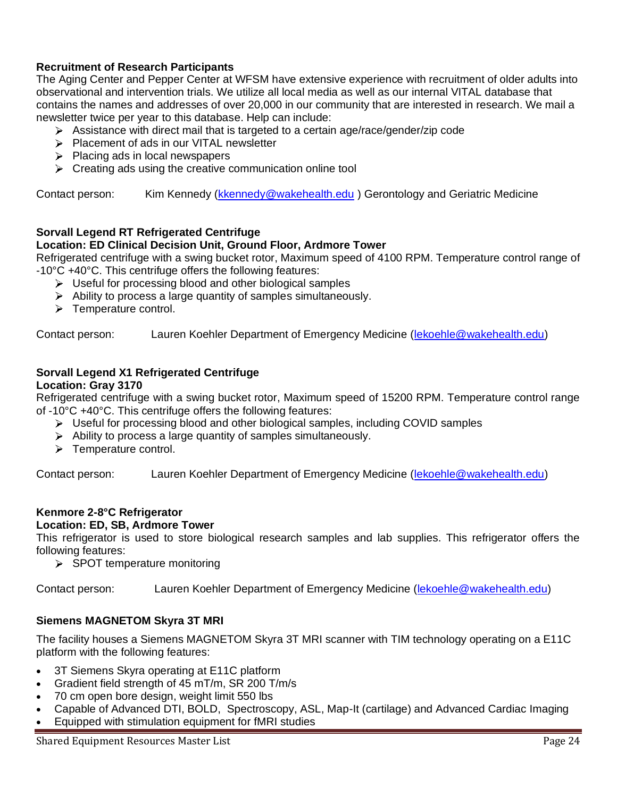# **Recruitment of Research Participants**

The Aging Center and Pepper Center at WFSM have extensive experience with recruitment of older adults into observational and intervention trials. We utilize all local media as well as our internal VITAL database that contains the names and addresses of over 20,000 in our community that are interested in research. We mail a newsletter twice per year to this database. Help can include:

- $\triangleright$  Assistance with direct mail that is targeted to a certain age/race/gender/zip code
- > Placement of ads in our VITAL newsletter
- $\triangleright$  Placing ads in local newspapers
- $\triangleright$  Creating ads using the creative communication online tool

Contact person: Kim Kennedy [\(kkennedy@wakehealth.edu](mailto:kkennedy@wakehealth.edu)) Gerontology and Geriatric Medicine

# **Sorvall Legend RT Refrigerated Centrifuge**

# **Location: ED Clinical Decision Unit, Ground Floor, Ardmore Tower**

Refrigerated centrifuge with a swing bucket rotor, Maximum speed of 4100 RPM. Temperature control range of -10°C +40°C. This centrifuge offers the following features:

- $\triangleright$  Useful for processing blood and other biological samples
- $\triangleright$  Ability to process a large quantity of samples simultaneously.
- > Temperature control.

Contact person: Lauren Koehler Department of Emergency Medicine [\(lekoehle@wakehealth.edu\)](mailto:lekoehle@wakehealth.edu)

# **Sorvall Legend X1 Refrigerated Centrifuge**

#### **Location: Gray 3170**

Refrigerated centrifuge with a swing bucket rotor, Maximum speed of 15200 RPM. Temperature control range of -10°C +40°C. This centrifuge offers the following features:

- $\triangleright$  Useful for processing blood and other biological samples, including COVID samples
- $\triangleright$  Ability to process a large quantity of samples simultaneously.
- > Temperature control.

Contact person: Lauren Koehler Department of Emergency Medicine [\(lekoehle@wakehealth.edu\)](mailto:lekoehle@wakehealth.edu)

# **Kenmore 2-8°C Refrigerator**

## **Location: ED, SB, Ardmore Tower**

This refrigerator is used to store biological research samples and lab supplies. This refrigerator offers the following features:

 $\triangleright$  SPOT temperature monitoring

Contact person: Lauren Koehler Department of Emergency Medicine [\(lekoehle@wakehealth.edu\)](mailto:lekoehle@wakehealth.edu)

# **Siemens MAGNETOM Skyra 3T MRI**

The facility houses a Siemens MAGNETOM Skyra 3T MRI scanner with TIM technology operating on a E11C platform with the following features:

- 3T Siemens Skyra operating at E11C platform
- Gradient field strength of 45 mT/m, SR 200 T/m/s
- 70 cm open bore design, weight limit 550 lbs
- Capable of Advanced DTI, BOLD, Spectroscopy, ASL, Map-It (cartilage) and Advanced Cardiac Imaging
- Equipped with stimulation equipment for fMRI studies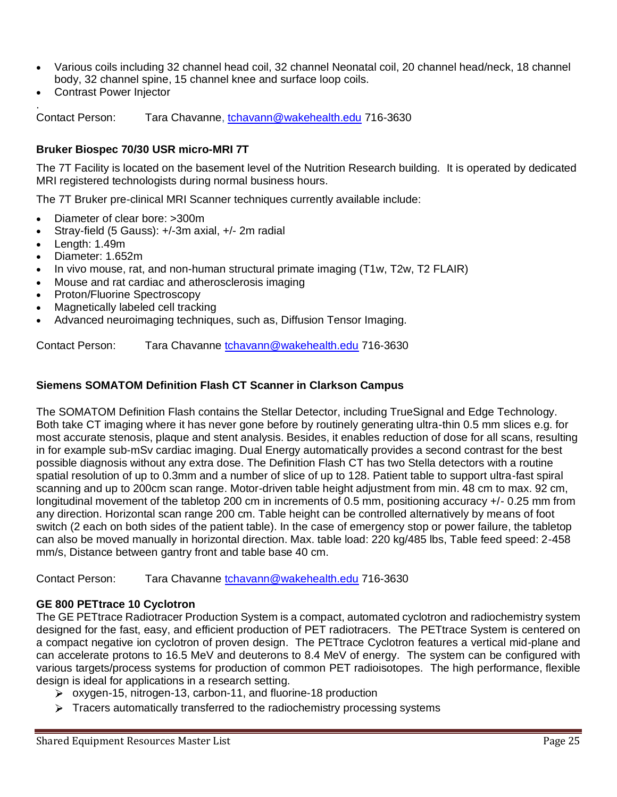- Various coils including 32 channel head coil, 32 channel Neonatal coil, 20 channel head/neck, 18 channel body, 32 channel spine, 15 channel knee and surface loop coils.
- Contrast Power Injector

.

Contact Person: Tara Chavanne, [tchavann@wakehealth.edu](mailto:tchavann@wakehealth.edu) 716-3630

## **Bruker Biospec 70/30 USR micro-MRI 7T**

The 7T Facility is located on the basement level of the Nutrition Research building. It is operated by dedicated MRI registered technologists during normal business hours.

The 7T Bruker pre-clinical MRI Scanner techniques currently available include:

- Diameter of clear bore: >300m
- Stray-field (5 Gauss): +/-3m axial, +/- 2m radial
- Length: 1.49m
- Diameter: 1.652m
- In vivo mouse, rat, and non-human structural primate imaging (T1w, T2w, T2 FLAIR)
- Mouse and rat cardiac and atherosclerosis imaging
- Proton/Fluorine Spectroscopy
- Magnetically labeled cell tracking
- Advanced neuroimaging techniques, such as, Diffusion Tensor Imaging.

Contact Person: Tara Chavanne [tchavann@wakehealth.edu](mailto:tchavann@wakehealth.edu) 716-3630

## **Siemens SOMATOM Definition Flash CT Scanner in Clarkson Campus**

The SOMATOM Definition Flash contains the Stellar Detector, including TrueSignal and Edge Technology. Both take CT imaging where it has never gone before by routinely generating ultra-thin 0.5 mm slices e.g. for most accurate stenosis, plaque and stent analysis. Besides, it enables reduction of dose for all scans, resulting in for example sub-mSv cardiac imaging. Dual Energy automatically provides a second contrast for the best possible diagnosis without any extra dose. The Definition Flash CT has two Stella detectors with a routine spatial resolution of up to 0.3mm and a number of slice of up to 128. Patient table to support ultra-fast spiral scanning and up to 200cm scan range. Motor-driven table height adjustment from min. 48 cm to max. 92 cm, longitudinal movement of the tabletop 200 cm in increments of 0.5 mm, positioning accuracy +/- 0.25 mm from any direction. Horizontal scan range 200 cm. Table height can be controlled alternatively by means of foot switch (2 each on both sides of the patient table). In the case of emergency stop or power failure, the tabletop can also be moved manually in horizontal direction. Max. table load: 220 kg/485 lbs, Table feed speed: 2-458 mm/s, Distance between gantry front and table base 40 cm.

Contact Person: Tara Chavanne [tchavann@wakehealth.edu](mailto:tchavann@wakehealth.edu) 716-3630

## **GE 800 PETtrace 10 Cyclotron**

The GE PETtrace Radiotracer Production System is a compact, automated cyclotron and radiochemistry system designed for the fast, easy, and efficient production of PET radiotracers. The PETtrace System is centered on a compact negative ion cyclotron of proven design. The PETtrace Cyclotron features a vertical mid-plane and can accelerate protons to 16.5 MeV and deuterons to 8.4 MeV of energy. The system can be configured with various targets/process systems for production of common PET radioisotopes. The high performance, flexible design is ideal for applications in a research setting.

- oxygen-15, nitrogen-13, carbon-11, and fluorine-18 production
- $\triangleright$  Tracers automatically transferred to the radiochemistry processing systems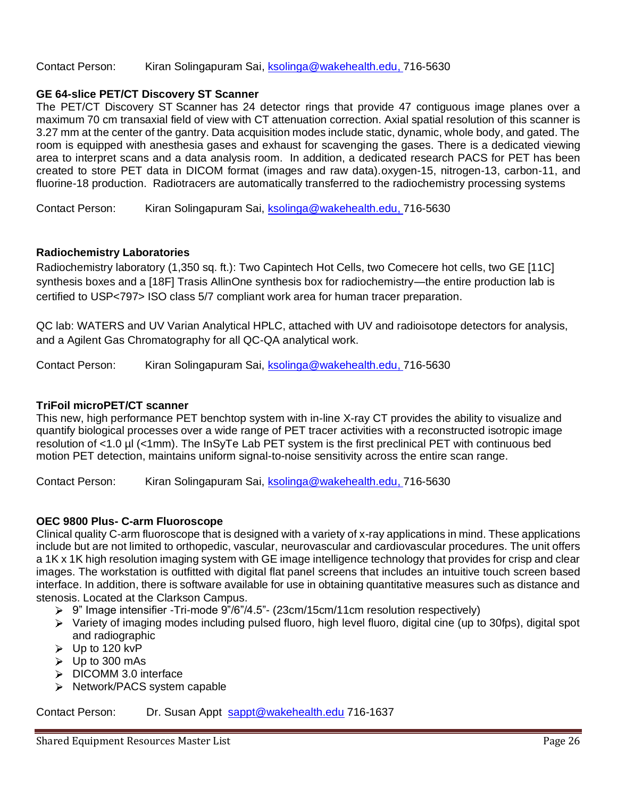#### Contact Person: Kiran Solingapuram Sai, [ksolinga@wakehealth.edu,](mailto:ksolinga@wakehealth.edu) 716-5630

#### **GE 64-slice PET/CT Discovery ST Scanner**

The PET/CT Discovery ST Scanner has 24 detector rings that provide 47 contiguous image planes over a maximum 70 cm transaxial field of view with CT attenuation correction. Axial spatial resolution of this scanner is 3.27 mm at the center of the gantry. Data acquisition modes include static, dynamic, whole body, and gated. The room is equipped with anesthesia gases and exhaust for scavenging the gases. There is a dedicated viewing area to interpret scans and a data analysis room. In addition, a dedicated research PACS for PET has been created to store PET data in DICOM format (images and raw data).oxygen-15, nitrogen-13, carbon-11, and fluorine-18 production. Radiotracers are automatically transferred to the radiochemistry processing systems

Contact Person: Kiran Solingapuram Sai, [ksolinga@wakehealth.edu,](mailto:ksolinga@wakehealth.edu) 716-5630

#### **Radiochemistry Laboratories**

Radiochemistry laboratory (1,350 sq. ft.): Two Capintech Hot Cells, two Comecere hot cells, two GE [11C] synthesis boxes and a [18F] Trasis AllinOne synthesis box for radiochemistry—the entire production lab is certified to USP<797> ISO class 5/7 compliant work area for human tracer preparation.

QC lab: WATERS and UV Varian Analytical HPLC, attached with UV and radioisotope detectors for analysis, and a Agilent Gas Chromatography for all QC-QA analytical work.

Contact Person: Kiran Solingapuram Sai, [ksolinga@wakehealth.edu,](mailto:ksolinga@wakehealth.edu) 716-5630

# **TriFoil microPET/CT scanner**

This new, high performance PET benchtop system with in-line X-ray CT provides the ability to visualize and quantify biological processes over a wide range of PET tracer activities with a reconstructed isotropic image resolution of <1.0 µl (<1mm). The InSyTe Lab PET system is the first preclinical PET with continuous bed motion PET detection, maintains uniform signal-to-noise sensitivity across the entire scan range.

Contact Person: Kiran Solingapuram Sai, [ksolinga@wakehealth.edu,](mailto:ksolinga@wakehealth.edu) 716-5630

## **OEC 9800 Plus- C-arm Fluoroscope**

Clinical quality C-arm fluoroscope that is designed with a variety of x-ray applications in mind. These applications include but are not limited to orthopedic, vascular, neurovascular and cardiovascular procedures. The unit offers a 1K x 1K high resolution imaging system with GE image intelligence technology that provides for crisp and clear images. The workstation is outfitted with digital flat panel screens that includes an intuitive touch screen based interface. In addition, there is software available for use in obtaining quantitative measures such as distance and stenosis. Located at the Clarkson Campus.

- 9" Image intensifier -Tri-mode 9"/6"/4.5"- (23cm/15cm/11cm resolution respectively)
- $\triangleright$  Variety of imaging modes including pulsed fluoro, high level fluoro, digital cine (up to 30fps), digital spot and radiographic
- $\triangleright$  Up to 120 kvP
- $\triangleright$  Up to 300 mAs
- > DICOMM 3.0 interface
- $\triangleright$  Network/PACS system capable

Contact Person: Dr. Susan Appt [sappt@wakehealth.edu](mailto:sappt@wakehealth.edu) 716-1637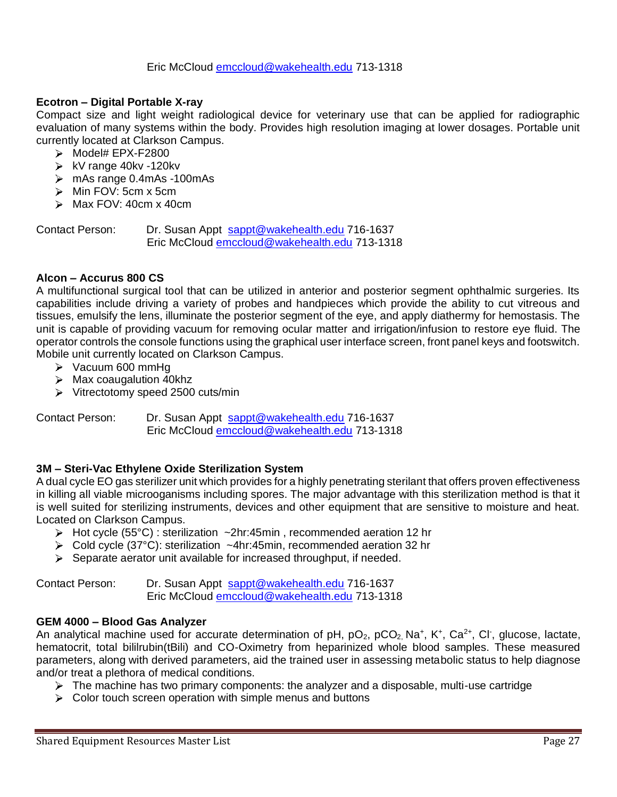#### Eric McCloud [emccloud@wakehealth.edu](mailto:bwright@wakehealth.edu) 713-1318

#### **Ecotron – Digital Portable X-ray**

Compact size and light weight radiological device for veterinary use that can be applied for radiographic evaluation of many systems within the body. Provides high resolution imaging at lower dosages. Portable unit currently located at Clarkson Campus.

- $\triangleright$  Model# EPX-F2800
- $\triangleright$  kV range 40kv -120kv
- mAs range 0.4mAs -100mAs
- $\triangleright$  Min FOV: 5cm x 5cm
- $\triangleright$  Max FOV: 40cm x 40cm

Contact Person: Dr. Susan Appt [sappt@wakehealth.edu](mailto:sappt@wakehealth.edu) 716-1637 Eric McCloud [emccloud@wakehealth.edu](mailto:bwright@wakehealth.edu) 713-1318

#### **Alcon – Accurus 800 CS**

A multifunctional surgical tool that can be utilized in anterior and posterior segment ophthalmic surgeries. Its capabilities include driving a variety of probes and handpieces which provide the ability to cut vitreous and tissues, emulsify the lens, illuminate the posterior segment of the eye, and apply diathermy for hemostasis. The unit is capable of providing vacuum for removing ocular matter and irrigation/infusion to restore eye fluid. The operator controls the console functions using the graphical user interface screen, front panel keys and footswitch. Mobile unit currently located on Clarkson Campus.

- $\triangleright$  Vacuum 600 mmHq
- $\triangleright$  Max coaugalution 40khz
- $\triangleright$  Vitrectotomy speed 2500 cuts/min

Contact Person: Dr. Susan Appt [sappt@wakehealth.edu](mailto:sappt@wakehealth.edu) 716-1637 Eric McCloud [emccloud@wakehealth.edu](mailto:bwright@wakehealth.edu) 713-1318

#### **3M – Steri-Vac Ethylene Oxide Sterilization System**

A dual cycle EO gas sterilizer unit which provides for a highly penetrating sterilant that offers proven effectiveness in killing all viable microoganisms including spores. The major advantage with this sterilization method is that it is well suited for sterilizing instruments, devices and other equipment that are sensitive to moisture and heat. Located on Clarkson Campus.

- Hot cycle (55°C) : sterilization ~2hr:45min , recommended aeration 12 hr
- Cold cycle (37°C): sterilization ~4hr:45min, recommended aeration 32 hr
- $\triangleright$  Separate aerator unit available for increased throughput, if needed.

Contact Person: Dr. Susan Appt [sappt@wakehealth.edu](mailto:sappt@wakehealth.edu) 716-1637 Eric McCloud [emccloud@wakehealth.edu](mailto:bwright@wakehealth.edu) 713-1318

#### **GEM 4000 – Blood Gas Analyzer**

An analytical machine used for accurate determination of pH,  $pO_2$ ,  $pCO_2$ , Na<sup>+</sup>, K<sup>+</sup>, Ca<sup>2+</sup>, Cl<sup>-</sup>, glucose, lactate, hematocrit, total bililrubin(tBili) and CO-Oximetry from heparinized whole blood samples. These measured parameters, along with derived parameters, aid the trained user in assessing metabolic status to help diagnose and/or treat a plethora of medical conditions.

- $\triangleright$  The machine has two primary components: the analyzer and a disposable, multi-use cartridge
- $\triangleright$  Color touch screen operation with simple menus and buttons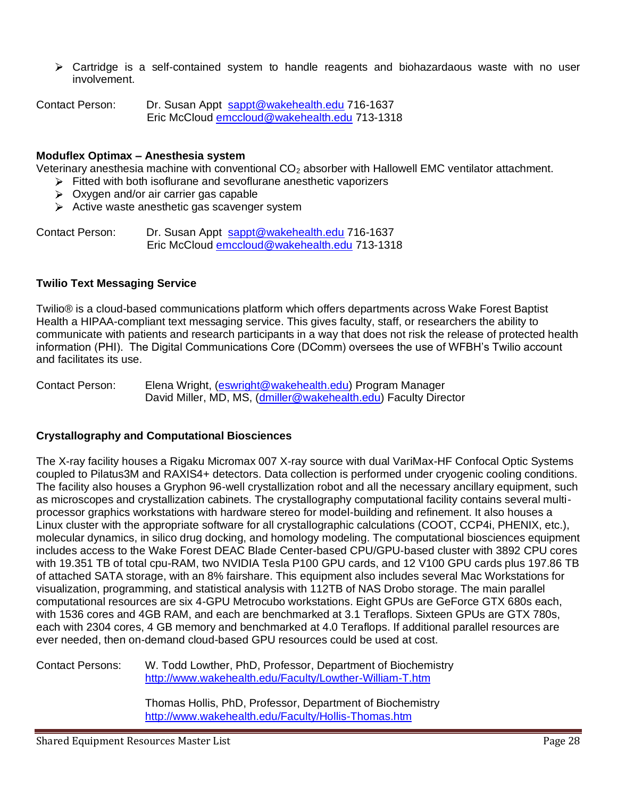$\triangleright$  Cartridge is a self-contained system to handle reagents and biohazardaous waste with no user involvement.

Contact Person: Dr. Susan Appt [sappt@wakehealth.edu](mailto:sappt@wakehealth.edu) 716-1637 Eric McCloud [emccloud@wakehealth.edu](mailto:bwright@wakehealth.edu) 713-1318

#### **Moduflex Optimax – Anesthesia system**

Veterinary anesthesia machine with conventional  $CO<sub>2</sub>$  absorber with Hallowell EMC ventilator attachment.

- $\triangleright$  Fitted with both isoflurane and sevoflurane anesthetic vaporizers
- $\triangleright$  Oxygen and/or air carrier gas capable
- $\triangleright$  Active waste anesthetic gas scavenger system

Contact Person: Dr. Susan Appt [sappt@wakehealth.edu](mailto:sappt@wakehealth.edu) 716-1637 Eric McCloud [emccloud@wakehealth.edu](mailto:bwright@wakehealth.edu) 713-1318

#### **Twilio Text Messaging Service**

Twilio® is a cloud-based communications platform which offers departments across Wake Forest Baptist Health a HIPAA-compliant text messaging service. This gives faculty, staff, or researchers the ability to communicate with patients and research participants in a way that does not risk the release of protected health information (PHI). The Digital Communications Core (DComm) oversees the use of WFBH's Twilio account and facilitates its use.

Contact Person: Elena Wright, [\(eswright@wakehealth.edu\)](mailto:eswright@wakehealth.edu) Program Manager David Miller, MD, MS, [\(dmiller@wakehealth.edu\)](mailto:dmiller@wakehealth.edu) Faculty Director

#### **Crystallography and Computational Biosciences**

The X-ray facility houses a Rigaku Micromax 007 X-ray source with dual VariMax-HF Confocal Optic Systems coupled to Pilatus3M and RAXIS4+ detectors. Data collection is performed under cryogenic cooling conditions. The facility also houses a Gryphon 96-well crystallization robot and all the necessary ancillary equipment, such as microscopes and crystallization cabinets. The crystallography computational facility contains several multiprocessor graphics workstations with hardware stereo for model-building and refinement. It also houses a Linux cluster with the appropriate software for all crystallographic calculations (COOT, CCP4i, PHENIX, etc.), molecular dynamics, in silico drug docking, and homology modeling. The computational biosciences equipment includes access to the Wake Forest DEAC Blade Center-based CPU/GPU-based cluster with 3892 CPU cores with 19.351 TB of total cpu-RAM, two NVIDIA Tesla P100 GPU cards, and 12 V100 GPU cards plus 197.86 TB of attached SATA storage, with an 8% fairshare. This equipment also includes several Mac Workstations for visualization, programming, and statistical analysis with 112TB of NAS Drobo storage. The main parallel computational resources are six 4-GPU Metrocubo workstations. Eight GPUs are GeForce GTX 680s each, with 1536 cores and 4GB RAM, and each are benchmarked at 3.1 Teraflops. Sixteen GPUs are GTX 780s, each with 2304 cores, 4 GB memory and benchmarked at 4.0 Teraflops. If additional parallel resources are ever needed, then on-demand cloud-based GPU resources could be used at cost.

Contact Persons: W. Todd Lowther, PhD, Professor, Department of Biochemistry <http://www.wakehealth.edu/Faculty/Lowther-William-T.htm>

> Thomas Hollis, PhD, Professor, Department of Biochemistry <http://www.wakehealth.edu/Faculty/Hollis-Thomas.htm>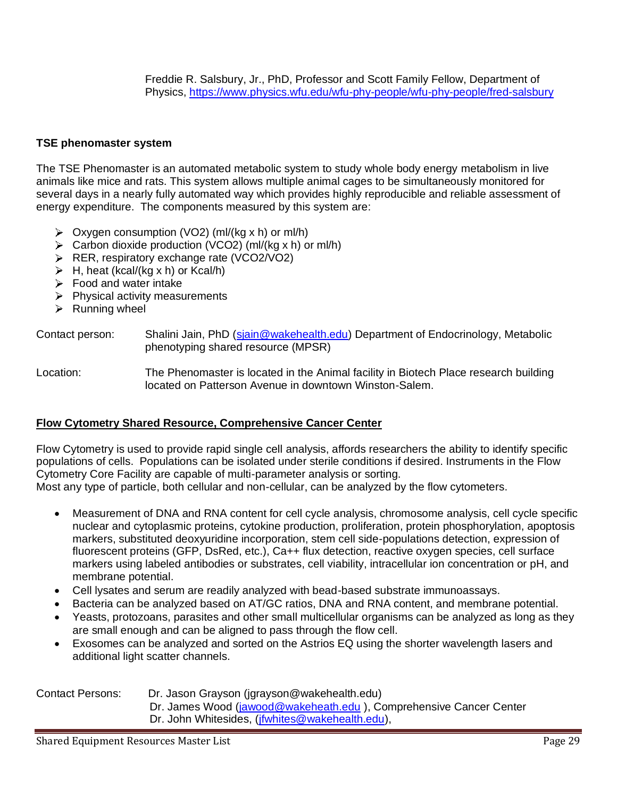Freddie R. Salsbury, Jr., PhD, Professor and Scott Family Fellow, Department of Physics,<https://www.physics.wfu.edu/wfu-phy-people/wfu-phy-people/fred-salsbury>

#### **TSE phenomaster system**

The TSE Phenomaster is an automated metabolic system to study whole body energy metabolism in live animals like mice and rats. This system allows multiple animal cages to be simultaneously monitored for several days in a nearly fully automated way which provides highly reproducible and reliable assessment of energy expenditure. The components measured by this system are:

- $\triangleright$  Oxygen consumption (VO2) (ml/(kg x h) or ml/h)
- $\triangleright$  Carbon dioxide production (VCO2) (ml/(kg x h) or ml/h)
- **ER, respiratory exchange rate (VCO2/VO2)**
- $\triangleright$  H, heat (kcal/(kg x h) or Kcal/h)
- $\triangleright$  Food and water intake
- $\triangleright$  Physical activity measurements
- $\triangleright$  Running wheel

Contact person: Shalini Jain, PhD [\(sjain@wakehealth.edu\)](mailto:sjain@wakehealth.edu) Department of Endocrinology, Metabolic phenotyping shared resource (MPSR)

Location: The Phenomaster is located in the Animal facility in Biotech Place research building located on Patterson Avenue in downtown Winston-Salem.

#### **Flow Cytometry Shared Resource, Comprehensive Cancer Center**

Flow Cytometry is used to provide rapid single cell analysis, affords researchers the ability to identify specific populations of cells. Populations can be isolated under sterile conditions if desired. Instruments in the Flow Cytometry Core Facility are capable of multi-parameter analysis or sorting.

Most any type of particle, both cellular and non-cellular, can be analyzed by the flow cytometers.

- Measurement of DNA and RNA content for cell cycle analysis, chromosome analysis, cell cycle specific nuclear and cytoplasmic proteins, cytokine production, proliferation, protein phosphorylation, apoptosis markers, substituted deoxyuridine incorporation, stem cell side-populations detection, expression of fluorescent proteins (GFP, DsRed, etc.), Ca++ flux detection, reactive oxygen species, cell surface markers using labeled antibodies or substrates, cell viability, intracellular ion concentration or pH, and membrane potential.
- Cell lysates and serum are readily analyzed with bead-based substrate immunoassays.
- Bacteria can be analyzed based on AT/GC ratios, DNA and RNA content, and membrane potential.
- Yeasts, protozoans, parasites and other small multicellular organisms can be analyzed as long as they are small enough and can be aligned to pass through the flow cell.
- Exosomes can be analyzed and sorted on the Astrios EQ using the shorter wavelength lasers and additional light scatter channels.

| <b>Contact Persons:</b> | Dr. Jason Grayson (jgrayson@wakehealth.edu)                        |
|-------------------------|--------------------------------------------------------------------|
|                         | Dr. James Wood (jawood@wakeheath.edu), Comprehensive Cancer Center |
|                         | Dr. John Whitesides, ( <i>jfwhites@wakehealth.edu</i> ),           |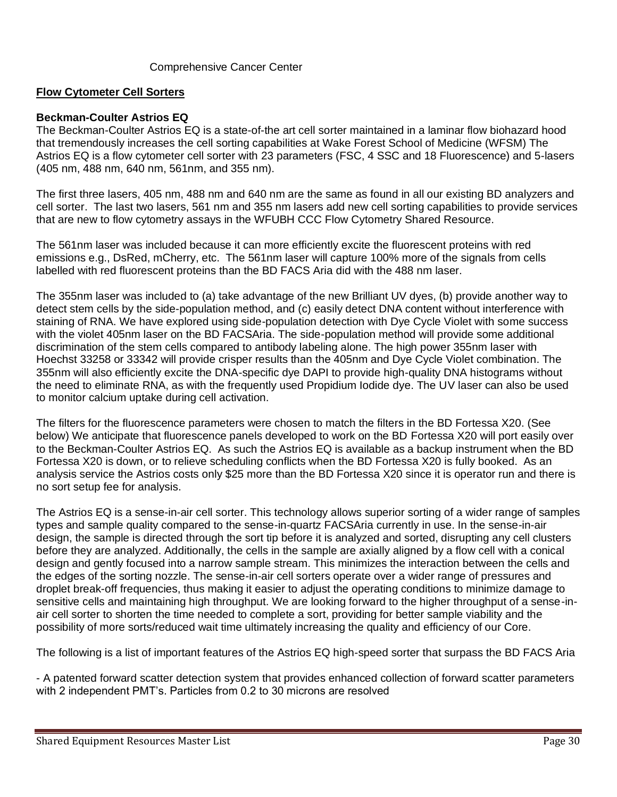#### Comprehensive Cancer Center

#### **Flow Cytometer Cell Sorters**

#### **Beckman-Coulter Astrios EQ**

The Beckman-Coulter Astrios EQ is a state-of-the art cell sorter maintained in a laminar flow biohazard hood that tremendously increases the cell sorting capabilities at Wake Forest School of Medicine (WFSM) The Astrios EQ is a flow cytometer cell sorter with 23 parameters (FSC, 4 SSC and 18 Fluorescence) and 5-lasers (405 nm, 488 nm, 640 nm, 561nm, and 355 nm).

The first three lasers, 405 nm, 488 nm and 640 nm are the same as found in all our existing BD analyzers and cell sorter. The last two lasers, 561 nm and 355 nm lasers add new cell sorting capabilities to provide services that are new to flow cytometry assays in the WFUBH CCC Flow Cytometry Shared Resource.

The 561nm laser was included because it can more efficiently excite the fluorescent proteins with red emissions e.g., DsRed, mCherry, etc. The 561nm laser will capture 100% more of the signals from cells labelled with red fluorescent proteins than the BD FACS Aria did with the 488 nm laser.

The 355nm laser was included to (a) take advantage of the new Brilliant UV dyes, (b) provide another way to detect stem cells by the side-population method, and (c) easily detect DNA content without interference with staining of RNA. We have explored using side-population detection with Dye Cycle Violet with some success with the violet 405nm laser on the BD FACSAria. The side-population method will provide some additional discrimination of the stem cells compared to antibody labeling alone. The high power 355nm laser with Hoechst 33258 or 33342 will provide crisper results than the 405nm and Dye Cycle Violet combination. The 355nm will also efficiently excite the DNA-specific dye DAPI to provide high-quality DNA histograms without the need to eliminate RNA, as with the frequently used Propidium Iodide dye. The UV laser can also be used to monitor calcium uptake during cell activation.

The filters for the fluorescence parameters were chosen to match the filters in the BD Fortessa X20. (See below) We anticipate that fluorescence panels developed to work on the BD Fortessa X20 will port easily over to the Beckman-Coulter Astrios EQ. As such the Astrios EQ is available as a backup instrument when the BD Fortessa X20 is down, or to relieve scheduling conflicts when the BD Fortessa X20 is fully booked. As an analysis service the Astrios costs only \$25 more than the BD Fortessa X20 since it is operator run and there is no sort setup fee for analysis.

The Astrios EQ is a sense-in-air cell sorter. This technology allows superior sorting of a wider range of samples types and sample quality compared to the sense-in-quartz FACSAria currently in use. In the sense-in-air design, the sample is directed through the sort tip before it is analyzed and sorted, disrupting any cell clusters before they are analyzed. Additionally, the cells in the sample are axially aligned by a flow cell with a conical design and gently focused into a narrow sample stream. This minimizes the interaction between the cells and the edges of the sorting nozzle. The sense-in-air cell sorters operate over a wider range of pressures and droplet break-off frequencies, thus making it easier to adjust the operating conditions to minimize damage to sensitive cells and maintaining high throughput. We are looking forward to the higher throughput of a sense-inair cell sorter to shorten the time needed to complete a sort, providing for better sample viability and the possibility of more sorts/reduced wait time ultimately increasing the quality and efficiency of our Core.

The following is a list of important features of the Astrios EQ high-speed sorter that surpass the BD FACS Aria

- A patented forward scatter detection system that provides enhanced collection of forward scatter parameters with 2 independent PMT's. Particles from 0.2 to 30 microns are resolved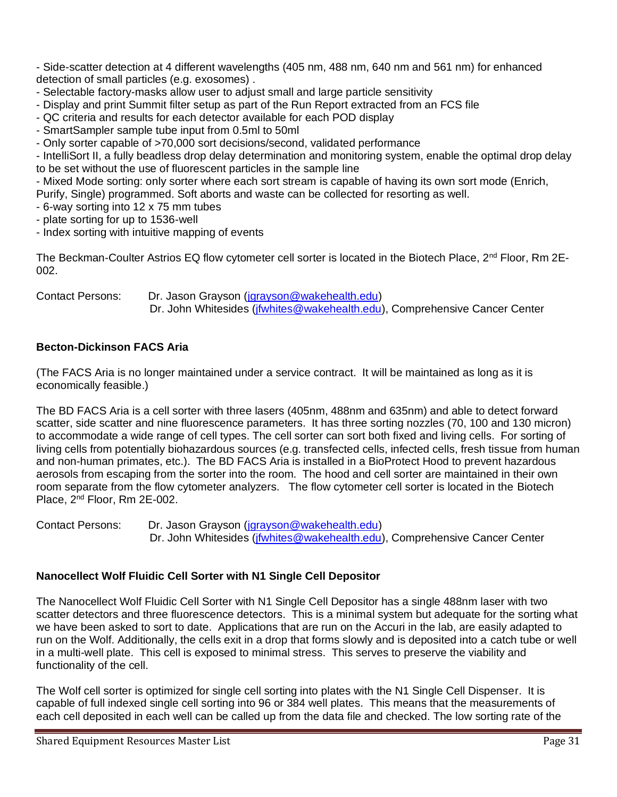- Side-scatter detection at 4 different wavelengths (405 nm, 488 nm, 640 nm and 561 nm) for enhanced detection of small particles (e.g. exosomes) .

- Selectable factory-masks allow user to adjust small and large particle sensitivity
- Display and print Summit filter setup as part of the Run Report extracted from an FCS file
- QC criteria and results for each detector available for each POD display
- SmartSampler sample tube input from 0.5ml to 50ml
- Only sorter capable of >70,000 sort decisions/second, validated performance

- IntelliSort II, a fully beadless drop delay determination and monitoring system, enable the optimal drop delay to be set without the use of fluorescent particles in the sample line

- Mixed Mode sorting: only sorter where each sort stream is capable of having its own sort mode (Enrich, Purify, Single) programmed. Soft aborts and waste can be collected for resorting as well.

- 6-way sorting into 12 x 75 mm tubes
- plate sorting for up to 1536-well
- Index sorting with intuitive mapping of events

The Beckman-Coulter Astrios EQ flow cytometer cell sorter is located in the Biotech Place, 2<sup>nd</sup> Floor, Rm 2E-002.

Contact Persons: Dr. Jason Grayson [\(jgrayson@wakehealth.edu\)](mailto:jgrayson@wakehealth.edu) Dr. John Whitesides (*jfwhites@wakehealth.edu*), Comprehensive Cancer Center

## **Becton-Dickinson FACS Aria**

(The FACS Aria is no longer maintained under a service contract. It will be maintained as long as it is economically feasible.)

The BD FACS Aria is a cell sorter with three lasers (405nm, 488nm and 635nm) and able to detect forward scatter, side scatter and nine fluorescence parameters. It has three sorting nozzles (70, 100 and 130 micron) to accommodate a wide range of cell types. The cell sorter can sort both fixed and living cells. For sorting of living cells from potentially biohazardous sources (e.g. transfected cells, infected cells, fresh tissue from human and non-human primates, etc.). The BD FACS Aria is installed in a BioProtect Hood to prevent hazardous aerosols from escaping from the sorter into the room. The hood and cell sorter are maintained in their own room separate from the flow cytometer analyzers. The flow cytometer cell sorter is located in the Biotech Place, 2nd Floor, Rm 2E-002.

Contact Persons: Dr. Jason Grayson [\(jgrayson@wakehealth.edu\)](mailto:jgrayson@wakehealth.edu) Dr. John Whitesides (*jfwhites@wakehealth.edu*), Comprehensive Cancer Center

## **Nanocellect Wolf Fluidic Cell Sorter with N1 Single Cell Depositor**

The Nanocellect Wolf Fluidic Cell Sorter with N1 Single Cell Depositor has a single 488nm laser with two scatter detectors and three fluorescence detectors. This is a minimal system but adequate for the sorting what we have been asked to sort to date. Applications that are run on the Accuri in the lab, are easily adapted to run on the Wolf. Additionally, the cells exit in a drop that forms slowly and is deposited into a catch tube or well in a multi-well plate. This cell is exposed to minimal stress. This serves to preserve the viability and functionality of the cell.

The Wolf cell sorter is optimized for single cell sorting into plates with the N1 Single Cell Dispenser. It is capable of full indexed single cell sorting into 96 or 384 well plates. This means that the measurements of each cell deposited in each well can be called up from the data file and checked. The low sorting rate of the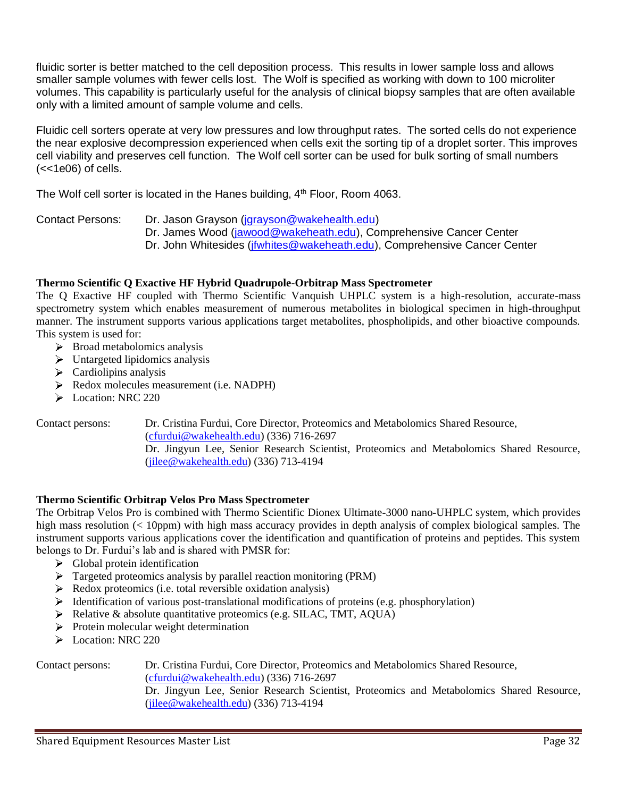fluidic sorter is better matched to the cell deposition process. This results in lower sample loss and allows smaller sample volumes with fewer cells lost. The Wolf is specified as working with down to 100 microliter volumes. This capability is particularly useful for the analysis of clinical biopsy samples that are often available only with a limited amount of sample volume and cells.

Fluidic cell sorters operate at very low pressures and low throughput rates. The sorted cells do not experience the near explosive decompression experienced when cells exit the sorting tip of a droplet sorter. This improves cell viability and preserves cell function. The Wolf cell sorter can be used for bulk sorting of small numbers  $(<$ - $1e06$ ) of cells.

The Wolf cell sorter is located in the Hanes building,  $4<sup>th</sup>$  Floor, Room 4063.

Contact Persons: Dr. Jason Grayson [\(jgrayson@wakehealth.edu\)](mailto:jgrayson@wakehealth.edu)

Dr. James Wood [\(jawood@wakeheath.edu\)](mailto:jawood@wakeheath.edu), Comprehensive Cancer Center

Dr. John Whitesides (*jfwhites@wakeheath.edu*), Comprehensive Cancer Center

## **Thermo Scientific Q Exactive HF Hybrid Quadrupole-Orbitrap Mass Spectrometer**

The Q Exactive HF coupled with Thermo Scientific Vanquish UHPLC system is a high-resolution, accurate-mass spectrometry system which enables measurement of numerous metabolites in biological specimen in high-throughput manner. The instrument supports various applications target metabolites, phospholipids, and other bioactive compounds. This system is used for:

- $\triangleright$  Broad metabolomics analysis
- $\triangleright$  Untargeted lipidomics analysis
- $\triangleright$  Cardiolipins analysis
- Redox molecules measurement (i.e. NADPH)
- Eocation: NRC 220

Contact persons: Dr. Cristina Furdui, Core Director, Proteomics and Metabolomics Shared Resource, [\(cfurdui@wakehealth.edu\)](mailto:cfurdui@wakehealth.edu) (336) 716-2697 Dr. Jingyun Lee, Senior Research Scientist, Proteomics and Metabolomics Shared Resource, [\(jilee@wakehealth.edu\)](mailto:jilee@wakehealth.edu) (336) 713-4194

#### **Thermo Scientific Orbitrap Velos Pro Mass Spectrometer**

The Orbitrap Velos Pro is combined with Thermo Scientific Dionex Ultimate-3000 nano-UHPLC system, which provides high mass resolution (< 10ppm) with high mass accuracy provides in depth analysis of complex biological samples. The instrument supports various applications cover the identification and quantification of proteins and peptides. This system belongs to Dr. Furdui's lab and is shared with PMSR for:

- $\triangleright$  Global protein identification
- Targeted proteomics analysis by parallel reaction monitoring (PRM)
- $\triangleright$  Redox proteomics (i.e. total reversible oxidation analysis)
- $\triangleright$  Identification of various post-translational modifications of proteins (e.g. phosphorylation)
- A Relative & absolute quantitative proteomics (e.g. SILAC, TMT, AQUA)
- $\triangleright$  Protein molecular weight determination
- Eocation: NRC 220

Contact persons: Dr. Cristina Furdui, Core Director, Proteomics and Metabolomics Shared Resource, [\(cfurdui@wakehealth.edu\)](mailto:cfurdui@wakehealth.edu) (336) 716-2697 Dr. Jingyun Lee, Senior Research Scientist, Proteomics and Metabolomics Shared Resource, [\(jilee@wakehealth.edu\)](mailto:jilee@wakehealth.edu) (336) 713-4194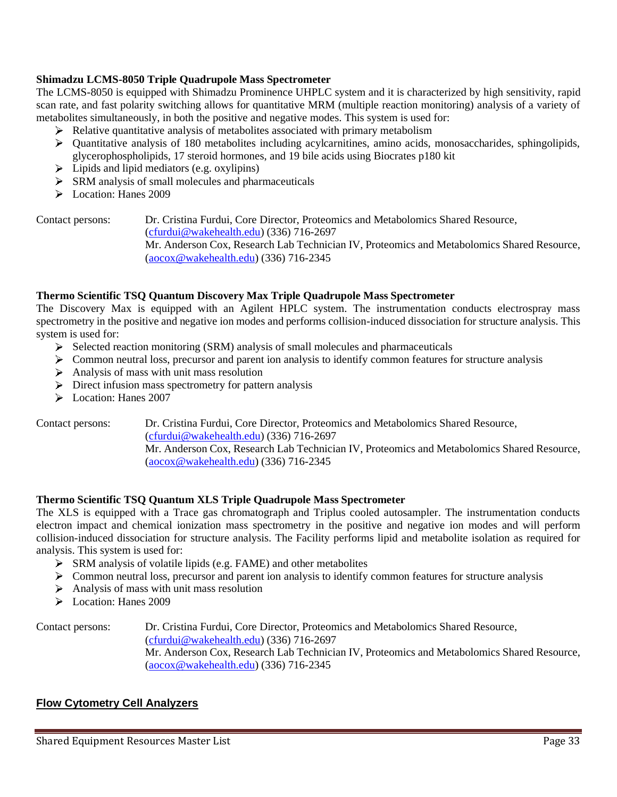#### **Shimadzu LCMS-8050 Triple Quadrupole Mass Spectrometer**

The LCMS-8050 is equipped with Shimadzu Prominence UHPLC system and it is characterized by high sensitivity, rapid scan rate, and fast polarity switching allows for quantitative MRM (multiple reaction monitoring) analysis of a variety of metabolites simultaneously, in both the positive and negative modes. This system is used for:

- $\triangleright$  Relative quantitative analysis of metabolites associated with primary metabolism
- $\triangleright$  Quantitative analysis of 180 metabolites including acylcarnitines, amino acids, monosaccharides, sphingolipids, glycerophospholipids, 17 steroid hormones, and 19 bile acids using Biocrates p180 kit
- $\blacktriangleright$  Lipids and lipid mediators (e.g. oxylipins)
- $\triangleright$  SRM analysis of small molecules and pharmaceuticals
- Location: Hanes 2009

Contact persons: Dr. Cristina Furdui, Core Director, Proteomics and Metabolomics Shared Resource, [\(cfurdui@wakehealth.edu\)](mailto:cfurdui@wakehealth.edu) (336) 716-2697 Mr. Anderson Cox, Research Lab Technician IV, Proteomics and Metabolomics Shared Resource, [\(aocox@wakehealth.edu\)](mailto:aocox@wakehealth.edu) (336) 716-2345

#### **Thermo Scientific TSQ Quantum Discovery Max Triple Quadrupole Mass Spectrometer**

The Discovery Max is equipped with an Agilent HPLC system. The instrumentation conducts electrospray mass spectrometry in the positive and negative ion modes and performs collision-induced dissociation for structure analysis. This system is used for:

- $\triangleright$  Selected reaction monitoring (SRM) analysis of small molecules and pharmaceuticals
- S Common neutral loss, precursor and parent ion analysis to identify common features for structure analysis
- $\triangleright$  Analysis of mass with unit mass resolution
- Direct infusion mass spectrometry for pattern analysis
- Location: Hanes 2007

Contact persons: Dr. Cristina Furdui, Core Director, Proteomics and Metabolomics Shared Resource, [\(cfurdui@wakehealth.edu\)](mailto:cfurdui@wakehealth.edu) (336) 716-2697 Mr. Anderson Cox, Research Lab Technician IV, Proteomics and Metabolomics Shared Resource, [\(aocox@wakehealth.edu\)](mailto:aocox@wakehealth.edu) (336) 716-2345

#### **Thermo Scientific TSQ Quantum XLS Triple Quadrupole Mass Spectrometer**

The XLS is equipped with a Trace gas chromatograph and Triplus cooled autosampler. The instrumentation conducts electron impact and chemical ionization mass spectrometry in the positive and negative ion modes and will perform collision-induced dissociation for structure analysis. The Facility performs lipid and metabolite isolation as required for analysis. This system is used for:

- $\triangleright$  SRM analysis of volatile lipids (e.g. FAME) and other metabolites
- S Common neutral loss, precursor and parent ion analysis to identify common features for structure analysis
- $\triangleright$  Analysis of mass with unit mass resolution
- Location: Hanes 2009

Contact persons: Dr. Cristina Furdui, Core Director, Proteomics and Metabolomics Shared Resource, [\(cfurdui@wakehealth.edu\)](mailto:cfurdui@wakehealth.edu) (336) 716-2697 Mr. Anderson Cox, Research Lab Technician IV, Proteomics and Metabolomics Shared Resource, [\(aocox@wakehealth.edu\)](mailto:aocox@wakehealth.edu) (336) 716-2345

#### **Flow Cytometry Cell Analyzers**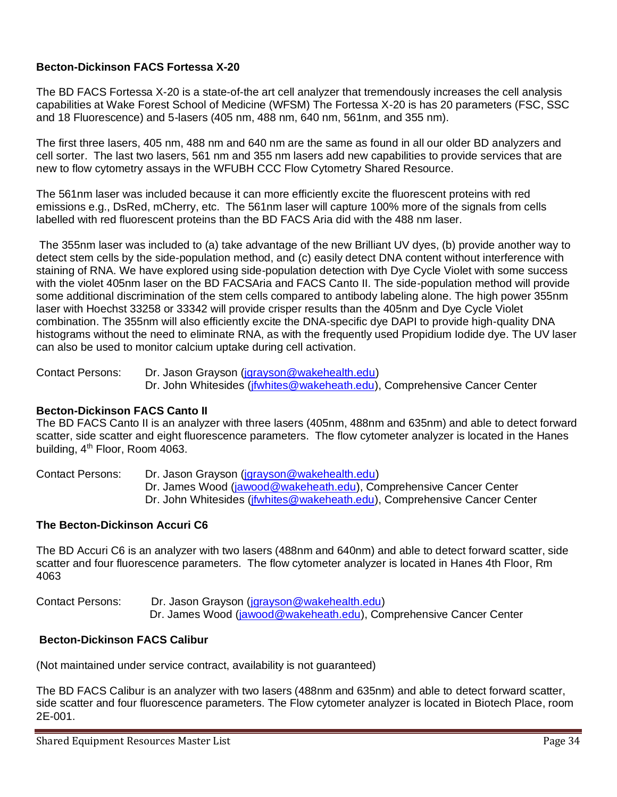# **Becton-Dickinson FACS Fortessa X-20**

The BD FACS Fortessa X-20 is a state-of-the art cell analyzer that tremendously increases the cell analysis capabilities at Wake Forest School of Medicine (WFSM) The Fortessa X-20 is has 20 parameters (FSC, SSC and 18 Fluorescence) and 5-lasers (405 nm, 488 nm, 640 nm, 561nm, and 355 nm).

The first three lasers, 405 nm, 488 nm and 640 nm are the same as found in all our older BD analyzers and cell sorter. The last two lasers, 561 nm and 355 nm lasers add new capabilities to provide services that are new to flow cytometry assays in the WFUBH CCC Flow Cytometry Shared Resource.

The 561nm laser was included because it can more efficiently excite the fluorescent proteins with red emissions e.g., DsRed, mCherry, etc. The 561nm laser will capture 100% more of the signals from cells labelled with red fluorescent proteins than the BD FACS Aria did with the 488 nm laser.

The 355nm laser was included to (a) take advantage of the new Brilliant UV dyes, (b) provide another way to detect stem cells by the side-population method, and (c) easily detect DNA content without interference with staining of RNA. We have explored using side-population detection with Dye Cycle Violet with some success with the violet 405nm laser on the BD FACSAria and FACS Canto II. The side-population method will provide some additional discrimination of the stem cells compared to antibody labeling alone. The high power 355nm laser with Hoechst 33258 or 33342 will provide crisper results than the 405nm and Dye Cycle Violet combination. The 355nm will also efficiently excite the DNA-specific dye DAPI to provide high-quality DNA histograms without the need to eliminate RNA, as with the frequently used Propidium Iodide dye. The UV laser can also be used to monitor calcium uptake during cell activation.

Contact Persons: Dr. Jason Grayson (jarayson@wakehealth.edu) Dr. John Whitesides (*jfwhites@wakeheath.edu*), Comprehensive Cancer Center

## **Becton-Dickinson FACS Canto II**

The BD FACS Canto II is an analyzer with three lasers (405nm, 488nm and 635nm) and able to detect forward scatter, side scatter and eight fluorescence parameters. The flow cytometer analyzer is located in the Hanes building, 4<sup>th</sup> Floor, Room 4063.

Contact Persons: Dr. Jason Grayson [\(jgrayson@wakehealth.edu\)](mailto:jgrayson@wakehealth.edu) Dr. James Wood [\(jawood@wakeheath.edu\)](mailto:jawood@wakeheath.edu), Comprehensive Cancer Center Dr. John Whitesides (*jfwhites@wakeheath.edu*), Comprehensive Cancer Center

#### **The Becton-Dickinson Accuri C6**

The BD Accuri C6 is an analyzer with two lasers (488nm and 640nm) and able to detect forward scatter, side scatter and four fluorescence parameters. The flow cytometer analyzer is located in Hanes 4th Floor, Rm 4063

Contact Persons: Dr. Jason Grayson [\(jgrayson@wakehealth.edu\)](mailto:jgrayson@wakehealth.edu) Dr. James Wood [\(jawood@wakeheath.edu\)](mailto:jawood@wakeheath.edu), Comprehensive Cancer Center

## **Becton-Dickinson FACS Calibur**

(Not maintained under service contract, availability is not guaranteed)

The BD FACS Calibur is an analyzer with two lasers (488nm and 635nm) and able to detect forward scatter, side scatter and four fluorescence parameters. The Flow cytometer analyzer is located in Biotech Place, room 2E-001.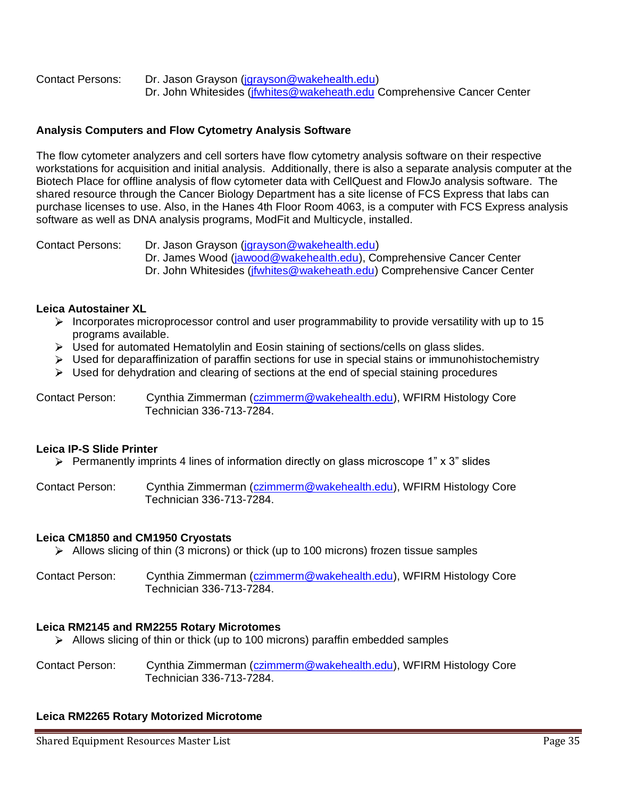Contact Persons: Dr. Jason Grayson [\(jgrayson@wakehealth.edu\)](mailto:jgrayson@wakehealth.edu) Dr. John Whitesides (*jfwhites@wakeheath.edu Comprehensive Cancer Center* 

# **Analysis Computers and Flow Cytometry Analysis Software**

The flow cytometer analyzers and cell sorters have flow cytometry analysis software on their respective workstations for acquisition and initial analysis. Additionally, there is also a separate analysis computer at the Biotech Place for offline analysis of flow cytometer data with CellQuest and FlowJo analysis software. The shared resource through the Cancer Biology Department has a site license of FCS Express that labs can purchase licenses to use. Also, in the Hanes 4th Floor Room 4063, is a computer with FCS Express analysis software as well as DNA analysis programs, ModFit and Multicycle, installed.

Contact Persons: Dr. Jason Grayson [\(jgrayson@wakehealth.edu\)](mailto:jgrayson@wakehealth.edu) Dr. James Wood [\(jawood@wakehealth.edu\)](mailto:jawood@wakehealth.edu), Comprehensive Cancer Center Dr. John Whitesides (*jfwhites@wakeheath.edu*) Comprehensive Cancer Center

#### **Leica Autostainer XL**

- $\triangleright$  Incorporates microprocessor control and user programmability to provide versatility with up to 15 programs available.
- $\triangleright$  Used for automated Hematolylin and Eosin staining of sections/cells on glass slides.
- $\triangleright$  Used for deparaffinization of paraffin sections for use in special stains or immunohistochemistry
- $\triangleright$  Used for dehydration and clearing of sections at the end of special staining procedures

Contact Person: Cynthia Zimmerman [\(czimmerm@wakehealth.edu\)](mailto:czimmerm@wakehealth.edu), WFIRM Histology Core Technician 336-713-7284.

#### **Leica IP-S Slide Printer**

 $\triangleright$  Permanently imprints 4 lines of information directly on glass microscope 1" x 3" slides

Contact Person: Cynthia Zimmerman [\(czimmerm@wakehealth.edu\)](mailto:czimmerm@wakehealth.edu), WFIRM Histology Core Technician 336-713-7284.

## **Leica CM1850 and CM1950 Cryostats**

- $\triangleright$  Allows slicing of thin (3 microns) or thick (up to 100 microns) frozen tissue samples
- Contact Person: Cynthia Zimmerman [\(czimmerm@wakehealth.edu\)](mailto:czimmerm@wakehealth.edu), WFIRM Histology Core Technician 336-713-7284.

## **Leica RM2145 and RM2255 Rotary Microtomes**

 $\triangleright$  Allows slicing of thin or thick (up to 100 microns) paraffin embedded samples

Contact Person: Cynthia Zimmerman [\(czimmerm@wakehealth.edu\)](mailto:czimmerm@wakehealth.edu), WFIRM Histology Core Technician 336-713-7284.

## **Leica RM2265 Rotary Motorized Microtome**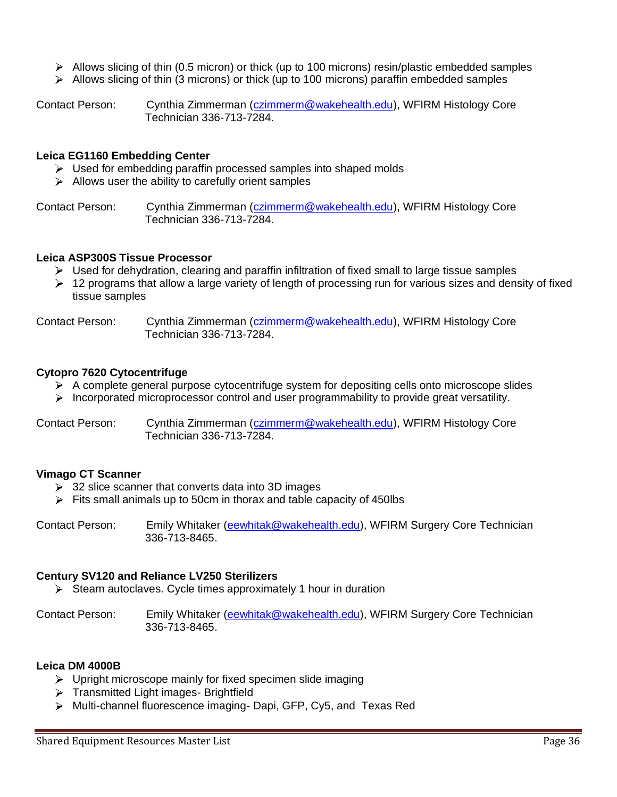- $\triangleright$  Allows slicing of thin (0.5 micron) or thick (up to 100 microns) resin/plastic embedded samples
- $\triangleright$  Allows slicing of thin (3 microns) or thick (up to 100 microns) paraffin embedded samples

Contact Person: Cynthia Zimmerman [\(czimmerm@wakehealth.edu\)](mailto:czimmerm@wakehealth.edu), WFIRM Histology Core Technician 336-713-7284.

#### **Leica EG1160 Embedding Center**

- $\triangleright$  Used for embedding paraffin processed samples into shaped molds
- $\triangleright$  Allows user the ability to carefully orient samples

Contact Person: Cynthia Zimmerman [\(czimmerm@wakehealth.edu\)](mailto:czimmerm@wakehealth.edu), WFIRM Histology Core Technician 336-713-7284.

#### **Leica ASP300S Tissue Processor**

- $\triangleright$  Used for dehydration, clearing and paraffin infiltration of fixed small to large tissue samples
- $\geq 12$  programs that allow a large variety of length of processing run for various sizes and density of fixed tissue samples

Contact Person: Cynthia Zimmerman [\(czimmerm@wakehealth.edu\)](mailto:czimmerm@wakehealth.edu), WFIRM Histology Core Technician 336-713-7284.

#### **Cytopro 7620 Cytocentrifuge**

- $\triangleright$  A complete general purpose cytocentrifuge system for depositing cells onto microscope slides
- $\triangleright$  Incorporated microprocessor control and user programmability to provide great versatility.

Contact Person: Cynthia Zimmerman [\(czimmerm@wakehealth.edu\)](mailto:czimmerm@wakehealth.edu), WFIRM Histology Core Technician 336-713-7284.

## **Vimago CT Scanner**

- ▶ 32 slice scanner that converts data into 3D images
- $\triangleright$  Fits small animals up to 50cm in thorax and table capacity of 450lbs

Contact Person: Emily Whitaker [\(eewhitak@wakehealth.edu\)](mailto:eewhitak@wakehealth.edu), WFIRM Surgery Core Technician 336-713-8465.

#### **Century SV120 and Reliance LV250 Sterilizers**

 $\triangleright$  Steam autoclaves. Cycle times approximately 1 hour in duration

Contact Person: Emily Whitaker [\(eewhitak@wakehealth.edu\)](mailto:eewhitak@wakehealth.edu), WFIRM Surgery Core Technician 336-713-8465.

#### **Leica DM 4000B**

- $\triangleright$  Upright microscope mainly for fixed specimen slide imaging
- > Transmitted Light images- Brightfield
- Multi-channel fluorescence imaging- Dapi, GFP, Cy5, and Texas Red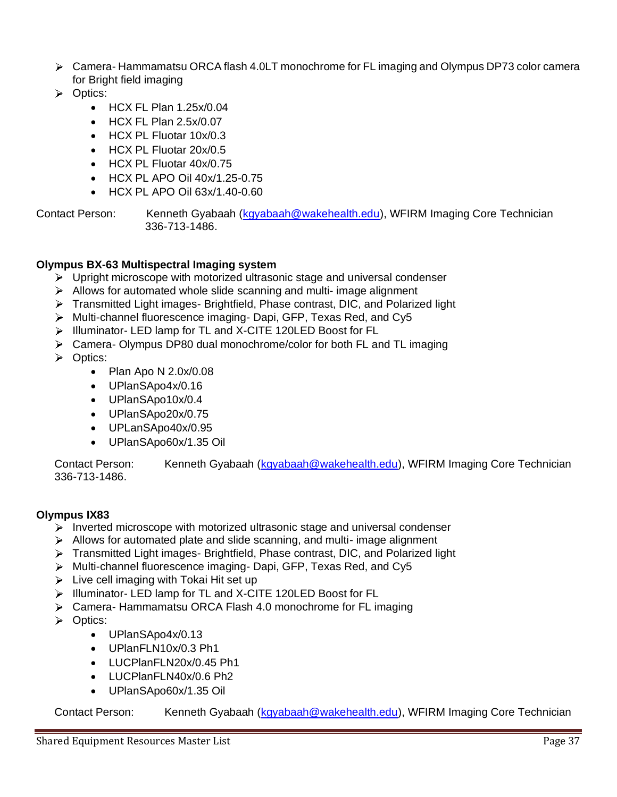- Camera- Hammamatsu ORCA flash 4.0LT monochrome for FL imaging and Olympus DP73 color camera for Bright field imaging
- **D** Optics:
	- $\bullet$  HCX FL Plan 1.25 $x/0.04$
	- HCX FL Plan 2.5x/0.07
	- HCX PL Fluotar 10x/0.3
	- HCX PL Fluotar 20x/0.5
	- HCX PL Fluotar 40x/0.75
	- HCX PL APO Oil 40x/1.25-0.75
	- HCX PL APO Oil 63x/1.40-0.60

Contact Person: Kenneth Gyabaah [\(kgyabaah@wakehealth.edu\)](mailto:kgyabaah@wakehealth.edu), WFIRM Imaging Core Technician 336-713-1486.

#### **Olympus BX-63 Multispectral Imaging system**

- $\triangleright$  Upright microscope with motorized ultrasonic stage and universal condenser
- $\triangleright$  Allows for automated whole slide scanning and multi- image alignment
- $\triangleright$  Transmitted Light images- Brightfield, Phase contrast, DIC, and Polarized light
- Multi-channel fluorescence imaging- Dapi, GFP, Texas Red, and Cy5
- > Illuminator- LED lamp for TL and X-CITE 120LED Boost for FL
- Camera- Olympus DP80 dual monochrome/color for both FL and TL imaging
- > Optics:
	- Plan Apo N 2.0x/0.08
	- UPlanSApo4x/0.16
	- UPlanSApo10x/0.4
	- UPlanSApo20x/0.75
	- UPLanSApo40x/0.95
	- UPlanSApo60x/1.35 Oil

Contact Person: Kenneth Gyabaah [\(kgyabaah@wakehealth.edu\)](mailto:kgyabaah@wakehealth.edu), WFIRM Imaging Core Technician 336-713-1486.

## **Olympus IX83**

- $\triangleright$  Inverted microscope with motorized ultrasonic stage and universal condenser
- $\triangleright$  Allows for automated plate and slide scanning, and multi-image alignment
- Transmitted Light images- Brightfield, Phase contrast, DIC, and Polarized light
- Multi-channel fluorescence imaging- Dapi, GFP, Texas Red, and Cy5
- $\triangleright$  Live cell imaging with Tokai Hit set up
- > Illuminator- LED lamp for TL and X-CITE 120LED Boost for FL
- Camera- Hammamatsu ORCA Flash 4.0 monochrome for FL imaging
- **>** Optics:
	- UPlanSApo4x/0.13
	- UPlanFLN10x/0.3 Ph1
	- LUCPlanFLN20x/0.45 Ph1
	- LUCPlanFLN40x/0.6 Ph2
	- UPlanSApo60x/1.35 Oil

Contact Person: Kenneth Gyabaah (kgyabaah @wakehealth.edu), WFIRM Imaging Core Technician